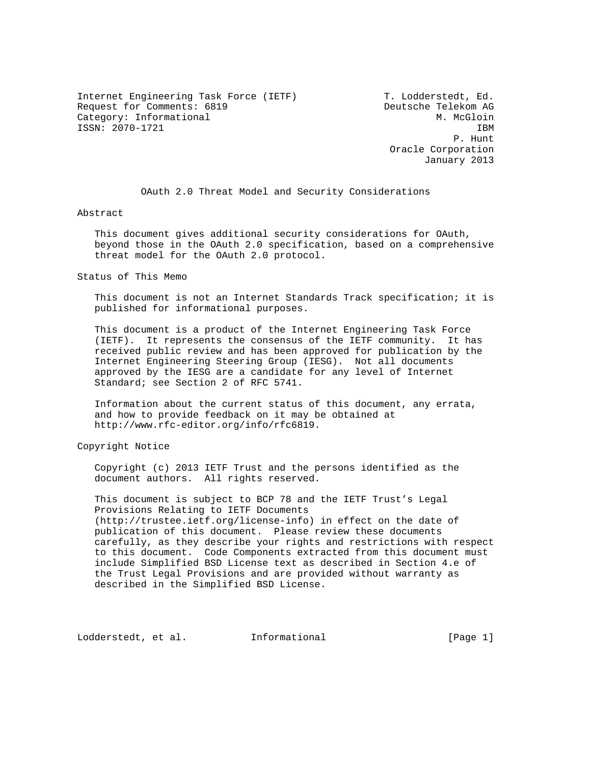Internet Engineering Task Force (IETF) T. Lodderstedt, Ed. Request for Comments: 6819 Deutsche Telekom AG Category: Informational M. McGloin ISSN: 2070-1721 IBM

 P. Hunt Oracle Corporation January 2013

OAuth 2.0 Threat Model and Security Considerations

Abstract

 This document gives additional security considerations for OAuth, beyond those in the OAuth 2.0 specification, based on a comprehensive threat model for the OAuth 2.0 protocol.

Status of This Memo

 This document is not an Internet Standards Track specification; it is published for informational purposes.

 This document is a product of the Internet Engineering Task Force (IETF). It represents the consensus of the IETF community. It has received public review and has been approved for publication by the Internet Engineering Steering Group (IESG). Not all documents approved by the IESG are a candidate for any level of Internet Standard; see Section 2 of RFC 5741.

 Information about the current status of this document, any errata, and how to provide feedback on it may be obtained at http://www.rfc-editor.org/info/rfc6819.

Copyright Notice

 Copyright (c) 2013 IETF Trust and the persons identified as the document authors. All rights reserved.

 This document is subject to BCP 78 and the IETF Trust's Legal Provisions Relating to IETF Documents (http://trustee.ietf.org/license-info) in effect on the date of publication of this document. Please review these documents carefully, as they describe your rights and restrictions with respect to this document. Code Components extracted from this document must include Simplified BSD License text as described in Section 4.e of the Trust Legal Provisions and are provided without warranty as described in the Simplified BSD License.

Lodderstedt, et al. Informational [Page 1]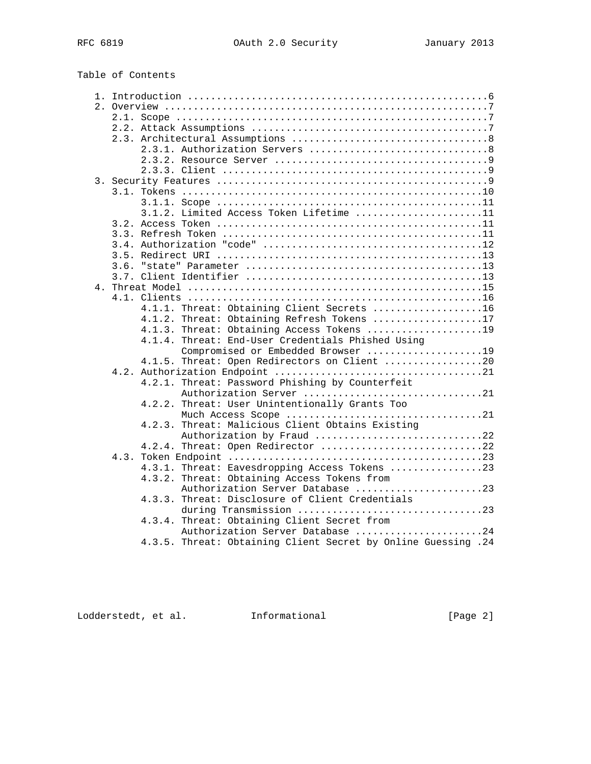| Table of Contents |  |  |  |
|-------------------|--|--|--|
|-------------------|--|--|--|

|  |      | 3.1.2. Limited Access Token Lifetime 11                                       |  |
|--|------|-------------------------------------------------------------------------------|--|
|  |      |                                                                               |  |
|  |      |                                                                               |  |
|  |      |                                                                               |  |
|  |      |                                                                               |  |
|  | 3.6. |                                                                               |  |
|  |      |                                                                               |  |
|  |      |                                                                               |  |
|  |      |                                                                               |  |
|  |      | 4.1.1. Threat: Obtaining Client Secrets 16                                    |  |
|  |      | 4.1.2. Threat: Obtaining Refresh Tokens 17                                    |  |
|  |      | 4.1.3. Threat: Obtaining Access Tokens 19                                     |  |
|  |      | 4.1.4. Threat: End-User Credentials Phished Using                             |  |
|  |      | Compromised or Embedded Browser 19                                            |  |
|  |      | 4.1.5. Threat: Open Redirectors on Client 20                                  |  |
|  |      |                                                                               |  |
|  |      | 4.2.1. Threat: Password Phishing by Counterfeit                               |  |
|  |      | Authorization Server 21                                                       |  |
|  |      | 4.2.2. Threat: User Unintentionally Grants Too                                |  |
|  |      |                                                                               |  |
|  |      | Much Access Scope 21                                                          |  |
|  |      | 4.2.3. Threat: Malicious Client Obtains Existing<br>Authorization by Fraud 22 |  |
|  |      |                                                                               |  |
|  |      | 4.2.4. Threat: Open Redirector 22                                             |  |
|  |      |                                                                               |  |
|  |      | 4.3.1. Threat: Eavesdropping Access Tokens 23                                 |  |
|  |      | 4.3.2. Threat: Obtaining Access Tokens from                                   |  |
|  |      | Authorization Server Database 23                                              |  |
|  |      | 4.3.3. Threat: Disclosure of Client Credentials                               |  |
|  |      | during Transmission 23                                                        |  |
|  |      | 4.3.4. Threat: Obtaining Client Secret from                                   |  |
|  |      | Authorization Server Database 24                                              |  |
|  |      | 4.3.5. Threat: Obtaining Client Secret by Online Guessing .24                 |  |

Lodderstedt, et al. 1nformational 1000 [Page 2]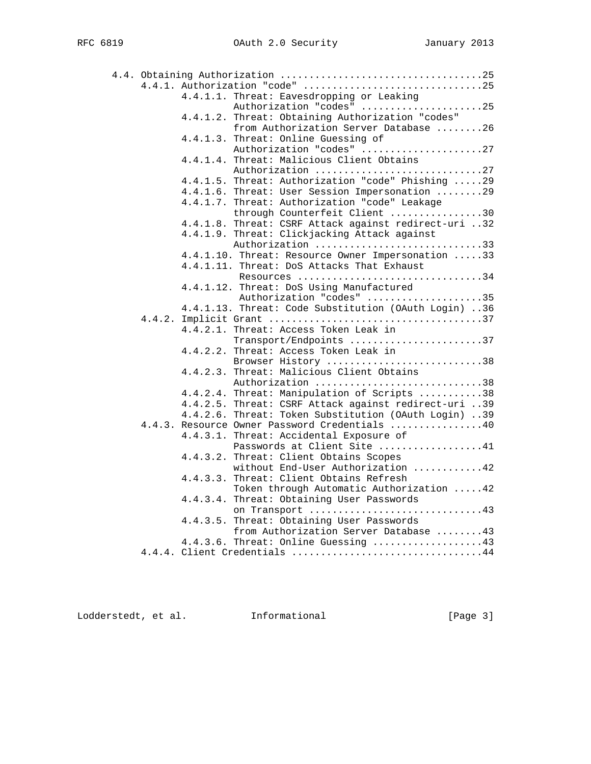|  |          | 4.4.1. Authorization "code" 25                                      |
|--|----------|---------------------------------------------------------------------|
|  |          | 4.4.1.1. Threat: Eavesdropping or Leaking                           |
|  |          | Authorization "codes" 25                                            |
|  |          | 4.4.1.2. Threat: Obtaining Authorization "codes"                    |
|  |          | from Authorization Server Database 26                               |
|  |          | 4.4.1.3. Threat: Online Guessing of                                 |
|  |          | Authorization "codes" 27                                            |
|  |          | 4.4.1.4. Threat: Malicious Client Obtains                           |
|  |          | Authorization 27                                                    |
|  |          | 4.4.1.5. Threat: Authorization "code" Phishing 29                   |
|  |          | 4.4.1.6. Threat: User Session Impersonation 29                      |
|  |          | 4.4.1.7. Threat: Authorization "code" Leakage                       |
|  |          | through Counterfeit Client 30                                       |
|  |          | 4.4.1.8. Threat: CSRF Attack against redirect-uri 32                |
|  |          | 4.4.1.9. Threat: Clickjacking Attack against                        |
|  |          | Authorization 33                                                    |
|  |          | 4.4.1.10. Threat: Resource Owner Impersonation 33                   |
|  |          | 4.4.1.11. Threat: DoS Attacks That Exhaust                          |
|  |          | Resources 34                                                        |
|  |          | 4.4.1.12. Threat: DoS Using Manufactured                            |
|  |          | Authorization "codes" 35                                            |
|  |          | 4.4.1.13. Threat: Code Substitution (OAuth Login) 36                |
|  |          |                                                                     |
|  |          | 4.4.2.1. Threat: Access Token Leak in                               |
|  |          | Transport/Endpoints 37                                              |
|  |          | 4.4.2.2. Threat: Access Token Leak in                               |
|  |          | Browser History 38                                                  |
|  |          | 4.4.2.3. Threat: Malicious Client Obtains                           |
|  |          | Authorization 38                                                    |
|  |          | 4.4.2.4. Threat: Manipulation of Scripts 38                         |
|  |          | 4.4.2.5. Threat: CSRF Attack against redirect-uri 39                |
|  |          | 4.4.2.6. Threat: Token Substitution (OAuth Login) 39                |
|  |          | 4.4.3. Resource Owner Password Credentials 40                       |
|  |          | 4.4.3.1. Threat: Accidental Exposure of                             |
|  |          | Passwords at Client Site 41                                         |
|  | 4.4.3.2. | Threat: Client Obtains Scopes                                       |
|  |          | without End-User Authorization 42                                   |
|  |          | 4.4.3.3. Threat: Client Obtains Refresh                             |
|  |          | Token through Automatic Authorization 42                            |
|  |          | 4.4.3.4. Threat: Obtaining User Passwords                           |
|  |          | on Transport 43                                                     |
|  |          | 4.4.3.5. Threat: Obtaining User Passwords                           |
|  |          | from Authorization Server Database 43                               |
|  |          |                                                                     |
|  |          | 4.4.3.6. Threat: Online Guessing 43<br>4.4.4. Client Credentials 44 |
|  |          |                                                                     |

Lodderstedt, et al. 1nformational 1000 [Page 3]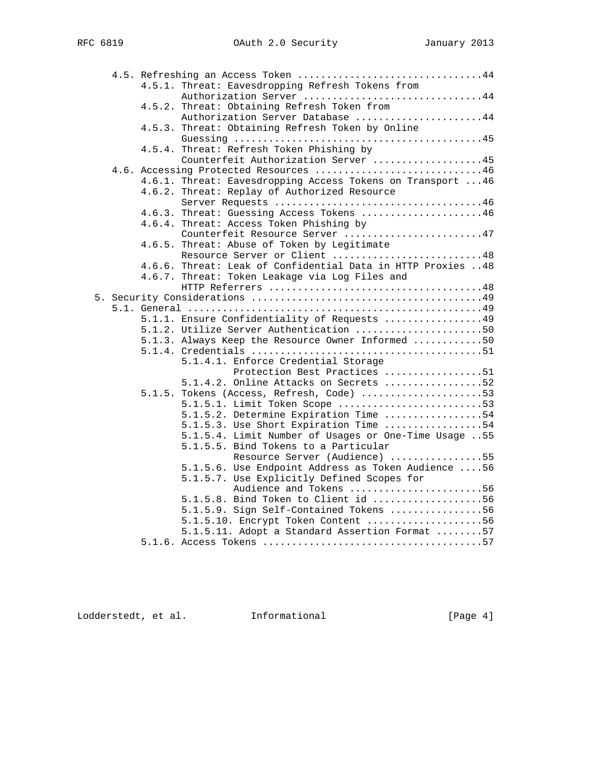|  | 4.5. Refreshing an Access Token 44                          |
|--|-------------------------------------------------------------|
|  | 4.5.1. Threat: Eavesdropping Refresh Tokens from            |
|  |                                                             |
|  | 4.5.2. Threat: Obtaining Refresh Token from                 |
|  | Authorization Server Database 44                            |
|  | 4.5.3. Threat: Obtaining Refresh Token by Online            |
|  |                                                             |
|  | 4.5.4. Threat: Refresh Token Phishing by                    |
|  | Counterfeit Authorization Server 45                         |
|  | 4.6. Accessing Protected Resources 46                       |
|  | 4.6.1. Threat: Eavesdropping Access Tokens on Transport  46 |
|  | 4.6.2. Threat: Replay of Authorized Resource                |
|  |                                                             |
|  | 4.6.3. Threat: Guessing Access Tokens 46                    |
|  | 4.6.4. Threat: Access Token Phishing by                     |
|  | Counterfeit Resource Server 47                              |
|  | 4.6.5. Threat: Abuse of Token by Legitimate                 |
|  | Resource Server or Client 48                                |
|  | 4.6.6. Threat: Leak of Confidential Data in HTTP Proxies 48 |
|  | 4.6.7. Threat: Token Leakage via Log Files and              |
|  |                                                             |
|  |                                                             |
|  |                                                             |
|  | 5.1.1. Ensure Confidentiality of Requests 49                |
|  | 5.1.2. Utilize Server Authentication 50                     |
|  | 5.1.3. Always Keep the Resource Owner Informed 50           |
|  |                                                             |
|  | 5.1.4.1. Enforce Credential Storage                         |
|  | Protection Best Practices 51                                |
|  | 5.1.4.2. Online Attacks on Secrets 52                       |
|  | 5.1.5. Tokens (Access, Refresh, Code) 53                    |
|  | 5.1.5.1. Limit Token Scope 53                               |
|  | 5.1.5.2. Determine Expiration Time 54                       |
|  | 5.1.5.3. Use Short Expiration Time 54                       |
|  | 5.1.5.4. Limit Number of Usages or One-Time Usage 55        |
|  | 5.1.5.5. Bind Tokens to a Particular                        |
|  | Resource Server (Audience) 55                               |
|  | 5.1.5.6. Use Endpoint Address as Token Audience  56         |
|  | 5.1.5.7. Use Explicitly Defined Scopes for                  |
|  | Audience and Tokens 56                                      |
|  | 5.1.5.8. Bind Token to Client id 56                         |
|  | 5.1.5.9. Sign Self-Contained Tokens 56                      |
|  | 5.1.5.10. Encrypt Token Content 56                          |
|  | 5.1.5.11. Adopt a Standard Assertion Format 57              |
|  |                                                             |

Lodderstedt, et al. Informational [Page 4]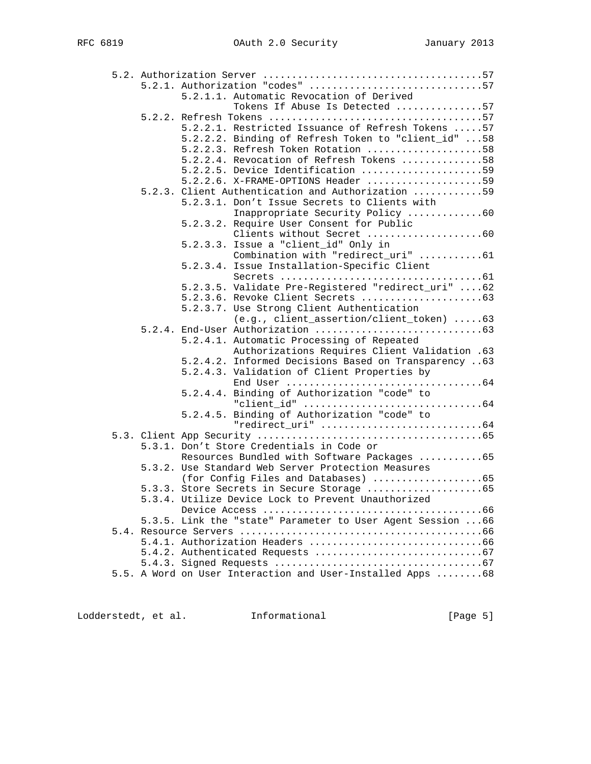|  |  | 5.2.1. Authorization "codes" 57                             |
|--|--|-------------------------------------------------------------|
|  |  | 5.2.1.1. Automatic Revocation of Derived                    |
|  |  | Tokens If Abuse Is Detected 57                              |
|  |  |                                                             |
|  |  | 5.2.2.1. Restricted Issuance of Refresh Tokens  57          |
|  |  | 5.2.2.2. Binding of Refresh Token to "client_id" 58         |
|  |  | 5.2.2.3. Refresh Token Rotation 58                          |
|  |  | 5.2.2.4. Revocation of Refresh Tokens 58                    |
|  |  | 5.2.2.5. Device Identification 59                           |
|  |  | $5.2.2.6$ . X-FRAME-OPTIONS Header 59                       |
|  |  | 5.2.3. Client Authentication and Authorization 59           |
|  |  | 5.2.3.1. Don't Issue Secrets to Clients with                |
|  |  | Inappropriate Security Policy 60                            |
|  |  | 5.2.3.2. Require User Consent for Public                    |
|  |  | Clients without Secret 60                                   |
|  |  | 5.2.3.3. Issue a "client_id" Only in                        |
|  |  | Combination with "redirect_uri" 61                          |
|  |  | 5.2.3.4. Issue Installation-Specific Client                 |
|  |  |                                                             |
|  |  | 5.2.3.5. Validate Pre-Registered "redirect_uri" 62          |
|  |  |                                                             |
|  |  | 5.2.3.7. Use Strong Client Authentication                   |
|  |  | (e.g., client_assertion/client_token) 63                    |
|  |  |                                                             |
|  |  | 5.2.4.1. Automatic Processing of Repeated                   |
|  |  | Authorizations Requires Client Validation .63               |
|  |  | 5.2.4.2. Informed Decisions Based on Transparency 63        |
|  |  | 5.2.4.3. Validation of Client Properties by                 |
|  |  |                                                             |
|  |  | 5.2.4.4. Binding of Authorization "code" to                 |
|  |  |                                                             |
|  |  | 5.2.4.5. Binding of Authorization "code" to                 |
|  |  |                                                             |
|  |  |                                                             |
|  |  | 5.3.1. Don't Store Credentials in Code or                   |
|  |  | Resources Bundled with Software Packages 65                 |
|  |  | 5.3.2. Use Standard Web Server Protection Measures          |
|  |  | (for Config Files and Databases) 65                         |
|  |  |                                                             |
|  |  | 5.3.4. Utilize Device Lock to Prevent Unauthorized          |
|  |  |                                                             |
|  |  | 5.3.5. Link the "state" Parameter to User Agent Session  66 |
|  |  |                                                             |
|  |  |                                                             |
|  |  |                                                             |
|  |  |                                                             |
|  |  | 5.5. A Word on User Interaction and User-Installed Apps 68  |
|  |  |                                                             |

Lodderstedt, et al. 1nformational 1000 [Page 5]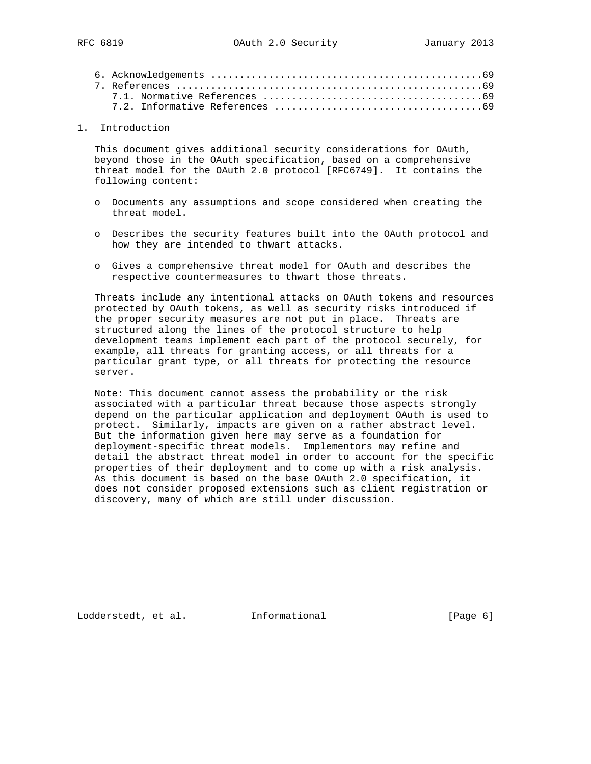1. Introduction

 This document gives additional security considerations for OAuth, beyond those in the OAuth specification, based on a comprehensive threat model for the OAuth 2.0 protocol [RFC6749]. It contains the following content:

- o Documents any assumptions and scope considered when creating the threat model.
- o Describes the security features built into the OAuth protocol and how they are intended to thwart attacks.
- o Gives a comprehensive threat model for OAuth and describes the respective countermeasures to thwart those threats.

 Threats include any intentional attacks on OAuth tokens and resources protected by OAuth tokens, as well as security risks introduced if the proper security measures are not put in place. Threats are structured along the lines of the protocol structure to help development teams implement each part of the protocol securely, for example, all threats for granting access, or all threats for a particular grant type, or all threats for protecting the resource server.

 Note: This document cannot assess the probability or the risk associated with a particular threat because those aspects strongly depend on the particular application and deployment OAuth is used to protect. Similarly, impacts are given on a rather abstract level. But the information given here may serve as a foundation for deployment-specific threat models. Implementors may refine and detail the abstract threat model in order to account for the specific properties of their deployment and to come up with a risk analysis. As this document is based on the base OAuth 2.0 specification, it does not consider proposed extensions such as client registration or discovery, many of which are still under discussion.

Lodderstedt, et al. Informational [Page 6]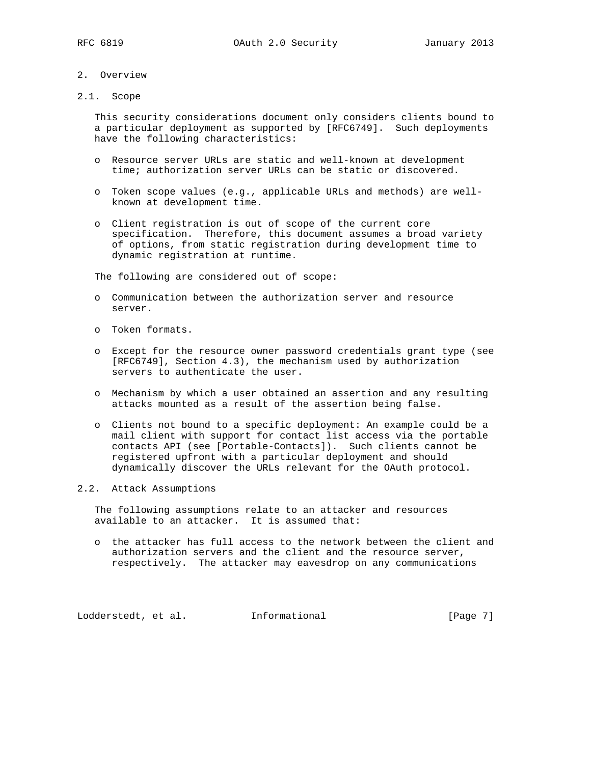## 2. Overview

2.1. Scope

 This security considerations document only considers clients bound to a particular deployment as supported by [RFC6749]. Such deployments have the following characteristics:

- o Resource server URLs are static and well-known at development time; authorization server URLs can be static or discovered.
- o Token scope values (e.g., applicable URLs and methods) are well known at development time.
- o Client registration is out of scope of the current core specification. Therefore, this document assumes a broad variety of options, from static registration during development time to dynamic registration at runtime.

The following are considered out of scope:

- o Communication between the authorization server and resource server.
- o Token formats.
- o Except for the resource owner password credentials grant type (see [RFC6749], Section 4.3), the mechanism used by authorization servers to authenticate the user.
- o Mechanism by which a user obtained an assertion and any resulting attacks mounted as a result of the assertion being false.
- o Clients not bound to a specific deployment: An example could be a mail client with support for contact list access via the portable contacts API (see [Portable-Contacts]). Such clients cannot be registered upfront with a particular deployment and should dynamically discover the URLs relevant for the OAuth protocol.

## 2.2. Attack Assumptions

 The following assumptions relate to an attacker and resources available to an attacker. It is assumed that:

 o the attacker has full access to the network between the client and authorization servers and the client and the resource server, respectively. The attacker may eavesdrop on any communications

Lodderstedt, et al. 1nformational [Page 7]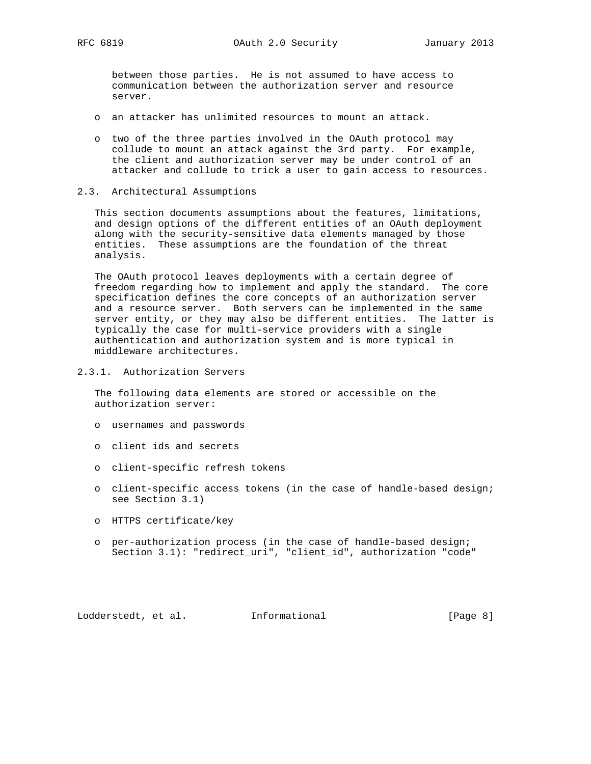between those parties. He is not assumed to have access to communication between the authorization server and resource server.

- o an attacker has unlimited resources to mount an attack.
- o two of the three parties involved in the OAuth protocol may collude to mount an attack against the 3rd party. For example, the client and authorization server may be under control of an attacker and collude to trick a user to gain access to resources.
- 2.3. Architectural Assumptions

 This section documents assumptions about the features, limitations, and design options of the different entities of an OAuth deployment along with the security-sensitive data elements managed by those entities. These assumptions are the foundation of the threat analysis.

 The OAuth protocol leaves deployments with a certain degree of freedom regarding how to implement and apply the standard. The core specification defines the core concepts of an authorization server and a resource server. Both servers can be implemented in the same server entity, or they may also be different entities. The latter is typically the case for multi-service providers with a single authentication and authorization system and is more typical in middleware architectures.

2.3.1. Authorization Servers

 The following data elements are stored or accessible on the authorization server:

- o usernames and passwords
- o client ids and secrets
- o client-specific refresh tokens
- o client-specific access tokens (in the case of handle-based design; see Section 3.1)
- o HTTPS certificate/key
- o per-authorization process (in the case of handle-based design; Section 3.1): "redirect\_uri", "client\_id", authorization "code"

Lodderstedt, et al. Informational [Page 8]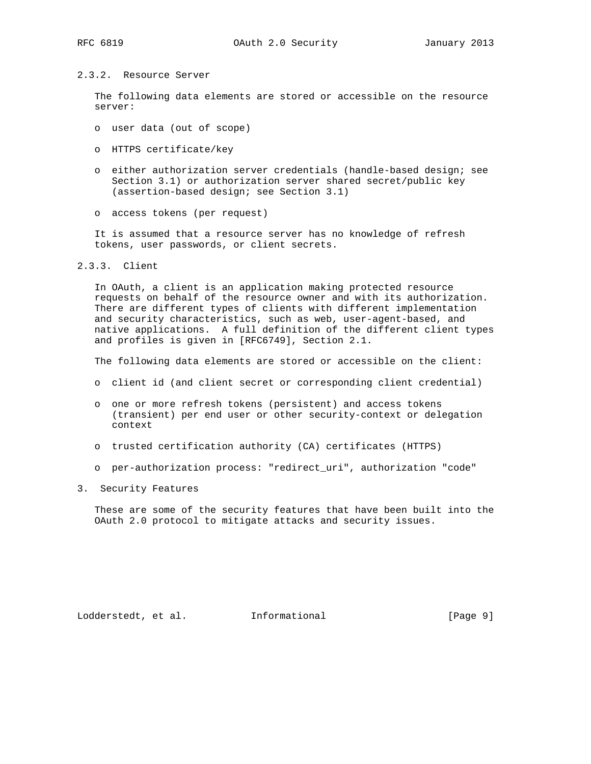## 2.3.2. Resource Server

 The following data elements are stored or accessible on the resource server:

- o user data (out of scope)
- o HTTPS certificate/key
- o either authorization server credentials (handle-based design; see Section 3.1) or authorization server shared secret/public key (assertion-based design; see Section 3.1)
- o access tokens (per request)

 It is assumed that a resource server has no knowledge of refresh tokens, user passwords, or client secrets.

2.3.3. Client

 In OAuth, a client is an application making protected resource requests on behalf of the resource owner and with its authorization. There are different types of clients with different implementation and security characteristics, such as web, user-agent-based, and native applications. A full definition of the different client types and profiles is given in [RFC6749], Section 2.1.

The following data elements are stored or accessible on the client:

- o client id (and client secret or corresponding client credential)
- o one or more refresh tokens (persistent) and access tokens (transient) per end user or other security-context or delegation context
- o trusted certification authority (CA) certificates (HTTPS)
- o per-authorization process: "redirect\_uri", authorization "code"
- 3. Security Features

 These are some of the security features that have been built into the OAuth 2.0 protocol to mitigate attacks and security issues.

Lodderstedt, et al. 1nformational [Page 9]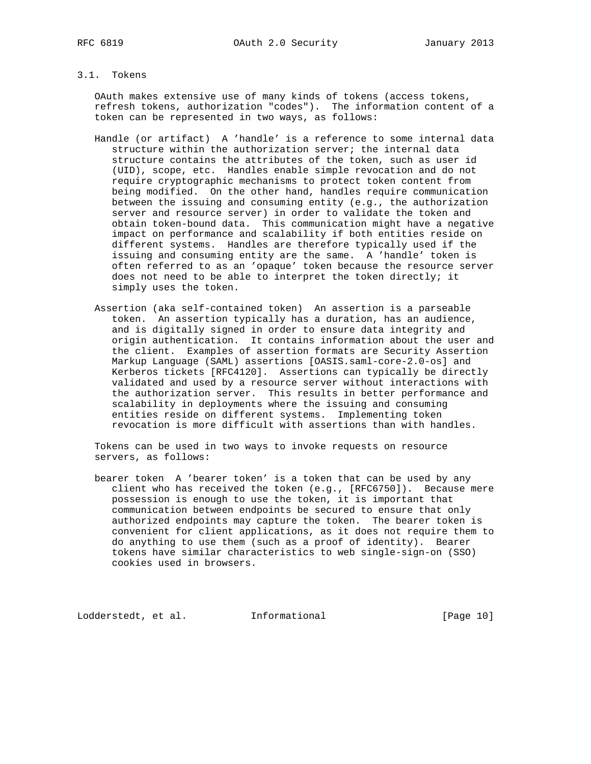## 3.1. Tokens

 OAuth makes extensive use of many kinds of tokens (access tokens, refresh tokens, authorization "codes"). The information content of a token can be represented in two ways, as follows:

- Handle (or artifact) A 'handle' is a reference to some internal data structure within the authorization server; the internal data structure contains the attributes of the token, such as user id (UID), scope, etc. Handles enable simple revocation and do not require cryptographic mechanisms to protect token content from being modified. On the other hand, handles require communication between the issuing and consuming entity (e.g., the authorization server and resource server) in order to validate the token and obtain token-bound data. This communication might have a negative impact on performance and scalability if both entities reside on different systems. Handles are therefore typically used if the issuing and consuming entity are the same. A 'handle' token is often referred to as an 'opaque' token because the resource server does not need to be able to interpret the token directly; it simply uses the token.
- Assertion (aka self-contained token) An assertion is a parseable token. An assertion typically has a duration, has an audience, and is digitally signed in order to ensure data integrity and origin authentication. It contains information about the user and the client. Examples of assertion formats are Security Assertion Markup Language (SAML) assertions [OASIS.saml-core-2.0-os] and Kerberos tickets [RFC4120]. Assertions can typically be directly validated and used by a resource server without interactions with the authorization server. This results in better performance and scalability in deployments where the issuing and consuming entities reside on different systems. Implementing token revocation is more difficult with assertions than with handles.

 Tokens can be used in two ways to invoke requests on resource servers, as follows:

 bearer token A 'bearer token' is a token that can be used by any client who has received the token (e.g., [RFC6750]). Because mere possession is enough to use the token, it is important that communication between endpoints be secured to ensure that only authorized endpoints may capture the token. The bearer token is convenient for client applications, as it does not require them to do anything to use them (such as a proof of identity). Bearer tokens have similar characteristics to web single-sign-on (SSO) cookies used in browsers.

Lodderstedt, et al. 1nformational [Page 10]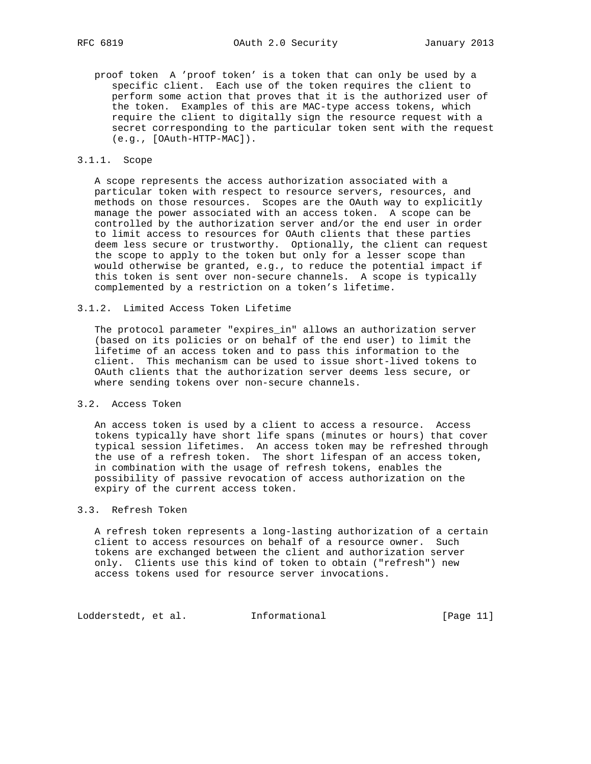proof token A 'proof token' is a token that can only be used by a specific client. Each use of the token requires the client to perform some action that proves that it is the authorized user of the token. Examples of this are MAC-type access tokens, which require the client to digitally sign the resource request with a secret corresponding to the particular token sent with the request (e.g., [OAuth-HTTP-MAC]).

## 3.1.1. Scope

 A scope represents the access authorization associated with a particular token with respect to resource servers, resources, and methods on those resources. Scopes are the OAuth way to explicitly manage the power associated with an access token. A scope can be controlled by the authorization server and/or the end user in order to limit access to resources for OAuth clients that these parties deem less secure or trustworthy. Optionally, the client can request the scope to apply to the token but only for a lesser scope than would otherwise be granted, e.g., to reduce the potential impact if this token is sent over non-secure channels. A scope is typically complemented by a restriction on a token's lifetime.

#### 3.1.2. Limited Access Token Lifetime

 The protocol parameter "expires\_in" allows an authorization server (based on its policies or on behalf of the end user) to limit the lifetime of an access token and to pass this information to the client. This mechanism can be used to issue short-lived tokens to OAuth clients that the authorization server deems less secure, or where sending tokens over non-secure channels.

### 3.2. Access Token

 An access token is used by a client to access a resource. Access tokens typically have short life spans (minutes or hours) that cover typical session lifetimes. An access token may be refreshed through the use of a refresh token. The short lifespan of an access token, in combination with the usage of refresh tokens, enables the possibility of passive revocation of access authorization on the expiry of the current access token.

# 3.3. Refresh Token

 A refresh token represents a long-lasting authorization of a certain client to access resources on behalf of a resource owner. Such tokens are exchanged between the client and authorization server only. Clients use this kind of token to obtain ("refresh") new access tokens used for resource server invocations.

Lodderstedt, et al. 1nformational [Page 11]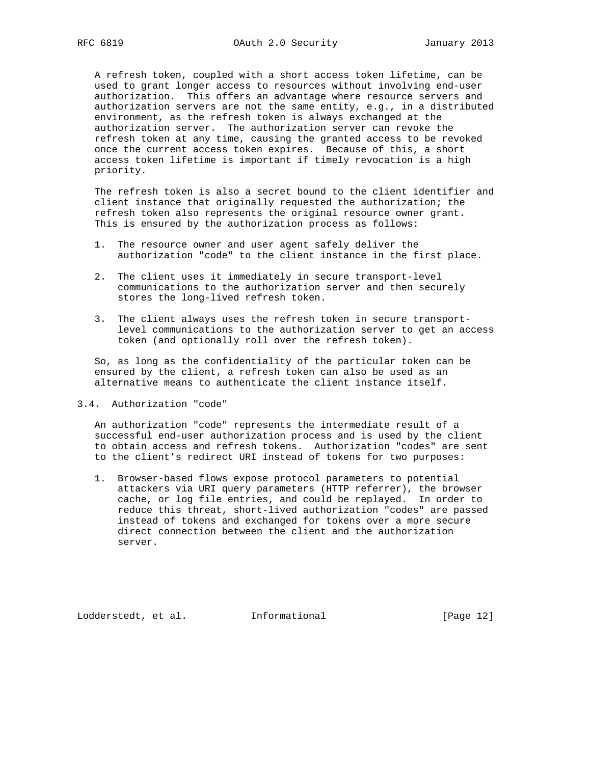A refresh token, coupled with a short access token lifetime, can be used to grant longer access to resources without involving end-user authorization. This offers an advantage where resource servers and authorization servers are not the same entity, e.g., in a distributed environment, as the refresh token is always exchanged at the authorization server. The authorization server can revoke the refresh token at any time, causing the granted access to be revoked once the current access token expires. Because of this, a short access token lifetime is important if timely revocation is a high priority.

 The refresh token is also a secret bound to the client identifier and client instance that originally requested the authorization; the refresh token also represents the original resource owner grant. This is ensured by the authorization process as follows:

- 1. The resource owner and user agent safely deliver the authorization "code" to the client instance in the first place.
- 2. The client uses it immediately in secure transport-level communications to the authorization server and then securely stores the long-lived refresh token.
- 3. The client always uses the refresh token in secure transport level communications to the authorization server to get an access token (and optionally roll over the refresh token).

 So, as long as the confidentiality of the particular token can be ensured by the client, a refresh token can also be used as an alternative means to authenticate the client instance itself.

3.4. Authorization "code"

 An authorization "code" represents the intermediate result of a successful end-user authorization process and is used by the client to obtain access and refresh tokens. Authorization "codes" are sent to the client's redirect URI instead of tokens for two purposes:

 1. Browser-based flows expose protocol parameters to potential attackers via URI query parameters (HTTP referrer), the browser cache, or log file entries, and could be replayed. In order to reduce this threat, short-lived authorization "codes" are passed instead of tokens and exchanged for tokens over a more secure direct connection between the client and the authorization server.

Lodderstedt, et al. 1nformational [Page 12]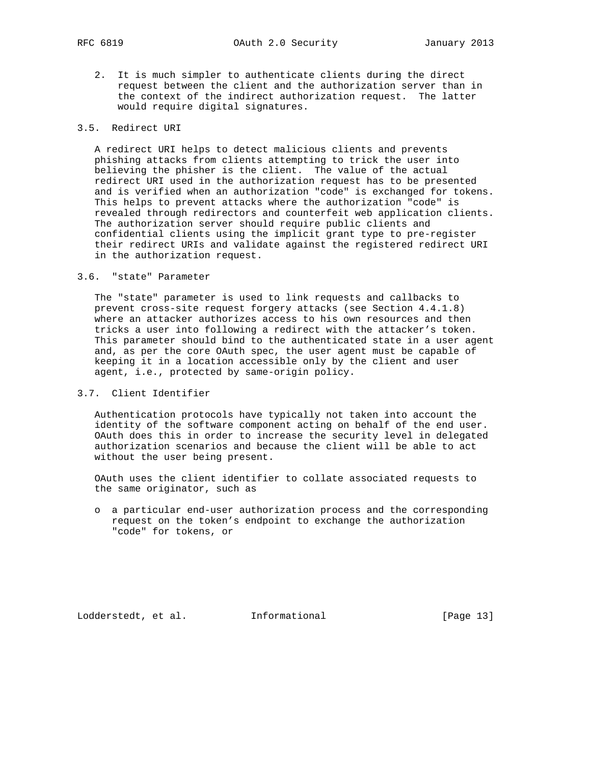2. It is much simpler to authenticate clients during the direct request between the client and the authorization server than in the context of the indirect authorization request. The latter would require digital signatures.

## 3.5. Redirect URI

 A redirect URI helps to detect malicious clients and prevents phishing attacks from clients attempting to trick the user into believing the phisher is the client. The value of the actual redirect URI used in the authorization request has to be presented and is verified when an authorization "code" is exchanged for tokens. This helps to prevent attacks where the authorization "code" is revealed through redirectors and counterfeit web application clients. The authorization server should require public clients and confidential clients using the implicit grant type to pre-register their redirect URIs and validate against the registered redirect URI in the authorization request.

### 3.6. "state" Parameter

 The "state" parameter is used to link requests and callbacks to prevent cross-site request forgery attacks (see Section 4.4.1.8) where an attacker authorizes access to his own resources and then tricks a user into following a redirect with the attacker's token. This parameter should bind to the authenticated state in a user agent and, as per the core OAuth spec, the user agent must be capable of keeping it in a location accessible only by the client and user agent, i.e., protected by same-origin policy.

## 3.7. Client Identifier

 Authentication protocols have typically not taken into account the identity of the software component acting on behalf of the end user. OAuth does this in order to increase the security level in delegated authorization scenarios and because the client will be able to act without the user being present.

 OAuth uses the client identifier to collate associated requests to the same originator, such as

 o a particular end-user authorization process and the corresponding request on the token's endpoint to exchange the authorization "code" for tokens, or

Lodderstedt, et al. 1nformational [Page 13]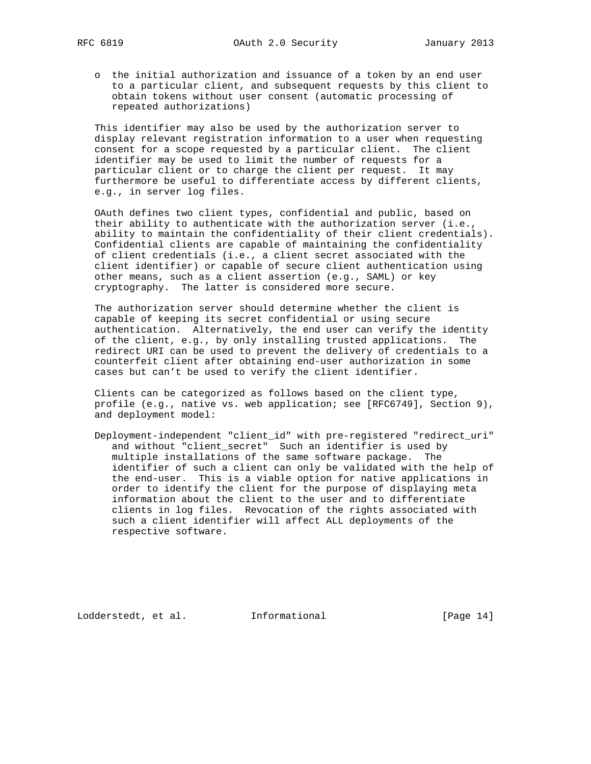o the initial authorization and issuance of a token by an end user to a particular client, and subsequent requests by this client to obtain tokens without user consent (automatic processing of repeated authorizations)

 This identifier may also be used by the authorization server to display relevant registration information to a user when requesting consent for a scope requested by a particular client. The client identifier may be used to limit the number of requests for a particular client or to charge the client per request. It may furthermore be useful to differentiate access by different clients, e.g., in server log files.

 OAuth defines two client types, confidential and public, based on their ability to authenticate with the authorization server (i.e., ability to maintain the confidentiality of their client credentials). Confidential clients are capable of maintaining the confidentiality of client credentials (i.e., a client secret associated with the client identifier) or capable of secure client authentication using other means, such as a client assertion (e.g., SAML) or key cryptography. The latter is considered more secure.

 The authorization server should determine whether the client is capable of keeping its secret confidential or using secure authentication. Alternatively, the end user can verify the identity of the client, e.g., by only installing trusted applications. The redirect URI can be used to prevent the delivery of credentials to a counterfeit client after obtaining end-user authorization in some cases but can't be used to verify the client identifier.

 Clients can be categorized as follows based on the client type, profile (e.g., native vs. web application; see [RFC6749], Section 9), and deployment model:

 Deployment-independent "client\_id" with pre-registered "redirect\_uri" and without "client\_secret" Such an identifier is used by multiple installations of the same software package. The identifier of such a client can only be validated with the help of the end-user. This is a viable option for native applications in order to identify the client for the purpose of displaying meta information about the client to the user and to differentiate clients in log files. Revocation of the rights associated with such a client identifier will affect ALL deployments of the respective software.

Lodderstedt, et al. 1nformational [Page 14]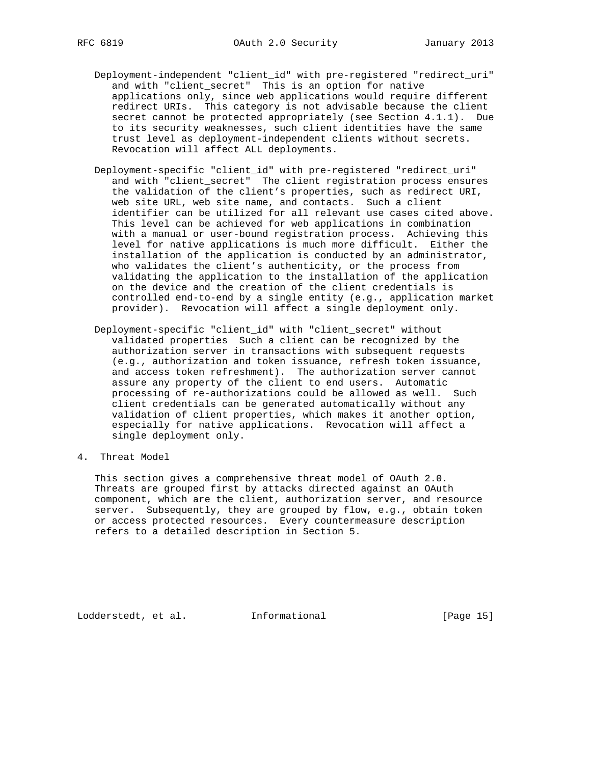- Deployment-independent "client\_id" with pre-registered "redirect\_uri" and with "client\_secret" This is an option for native applications only, since web applications would require different redirect URIs. This category is not advisable because the client secret cannot be protected appropriately (see Section 4.1.1). Due to its security weaknesses, such client identities have the same trust level as deployment-independent clients without secrets. Revocation will affect ALL deployments.
- Deployment-specific "client\_id" with pre-registered "redirect\_uri" and with "client\_secret" The client registration process ensures the validation of the client's properties, such as redirect URI, web site URL, web site name, and contacts. Such a client identifier can be utilized for all relevant use cases cited above. This level can be achieved for web applications in combination with a manual or user-bound registration process. Achieving this level for native applications is much more difficult. Either the installation of the application is conducted by an administrator, who validates the client's authenticity, or the process from validating the application to the installation of the application on the device and the creation of the client credentials is controlled end-to-end by a single entity (e.g., application market provider). Revocation will affect a single deployment only.
- Deployment-specific "client\_id" with "client\_secret" without validated properties Such a client can be recognized by the authorization server in transactions with subsequent requests (e.g., authorization and token issuance, refresh token issuance, and access token refreshment). The authorization server cannot assure any property of the client to end users. Automatic processing of re-authorizations could be allowed as well. Such client credentials can be generated automatically without any validation of client properties, which makes it another option, especially for native applications. Revocation will affect a single deployment only.
- 4. Threat Model

 This section gives a comprehensive threat model of OAuth 2.0. Threats are grouped first by attacks directed against an OAuth component, which are the client, authorization server, and resource server. Subsequently, they are grouped by flow, e.g., obtain token or access protected resources. Every countermeasure description refers to a detailed description in Section 5.

Lodderstedt, et al. 1nformational [Page 15]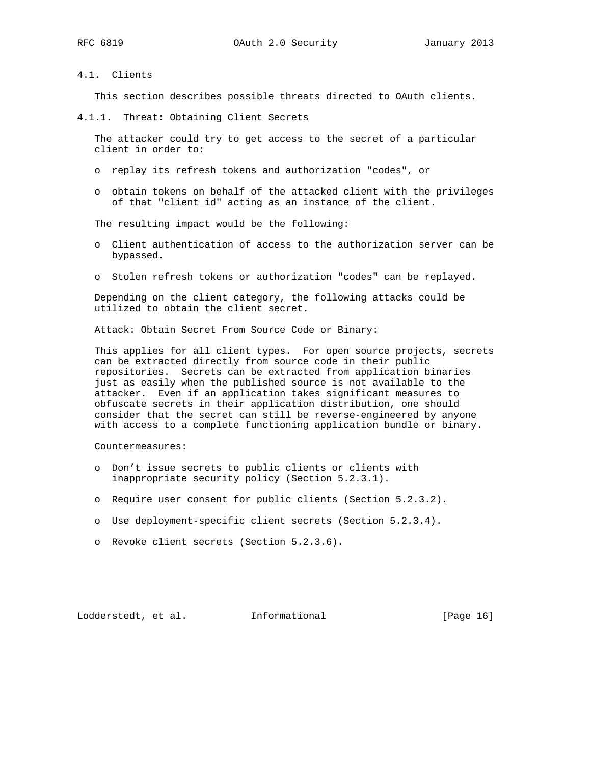## 4.1. Clients

This section describes possible threats directed to OAuth clients.

4.1.1. Threat: Obtaining Client Secrets

 The attacker could try to get access to the secret of a particular client in order to:

- o replay its refresh tokens and authorization "codes", or
- o obtain tokens on behalf of the attacked client with the privileges of that "client\_id" acting as an instance of the client.

The resulting impact would be the following:

- o Client authentication of access to the authorization server can be bypassed.
- o Stolen refresh tokens or authorization "codes" can be replayed.

 Depending on the client category, the following attacks could be utilized to obtain the client secret.

Attack: Obtain Secret From Source Code or Binary:

 This applies for all client types. For open source projects, secrets can be extracted directly from source code in their public repositories. Secrets can be extracted from application binaries just as easily when the published source is not available to the attacker. Even if an application takes significant measures to obfuscate secrets in their application distribution, one should consider that the secret can still be reverse-engineered by anyone with access to a complete functioning application bundle or binary.

Countermeasures:

- o Don't issue secrets to public clients or clients with inappropriate security policy (Section 5.2.3.1).
- o Require user consent for public clients (Section 5.2.3.2).
- o Use deployment-specific client secrets (Section 5.2.3.4).
- o Revoke client secrets (Section 5.2.3.6).

Lodderstedt, et al. 1nformational [Page 16]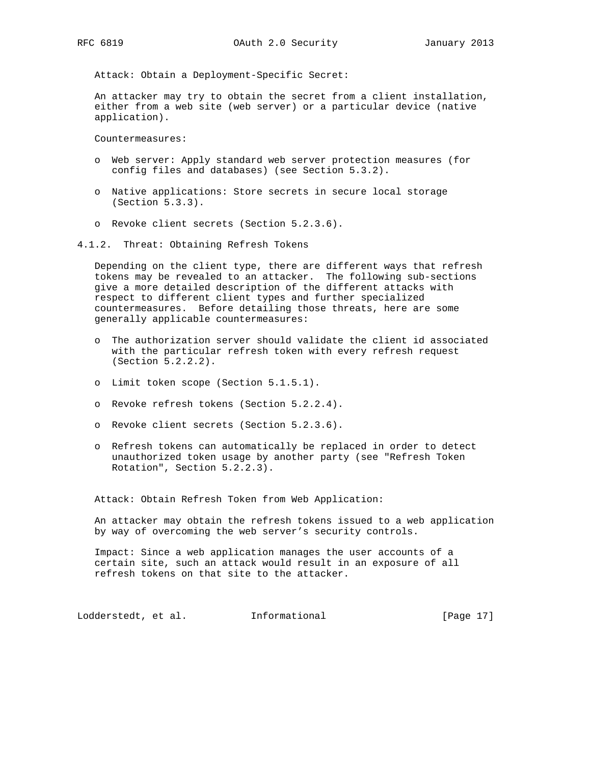Attack: Obtain a Deployment-Specific Secret:

 An attacker may try to obtain the secret from a client installation, either from a web site (web server) or a particular device (native application).

Countermeasures:

- o Web server: Apply standard web server protection measures (for config files and databases) (see Section 5.3.2).
- o Native applications: Store secrets in secure local storage (Section 5.3.3).
- o Revoke client secrets (Section 5.2.3.6).

4.1.2. Threat: Obtaining Refresh Tokens

 Depending on the client type, there are different ways that refresh tokens may be revealed to an attacker. The following sub-sections give a more detailed description of the different attacks with respect to different client types and further specialized countermeasures. Before detailing those threats, here are some generally applicable countermeasures:

- o The authorization server should validate the client id associated with the particular refresh token with every refresh request (Section 5.2.2.2).
- o Limit token scope (Section 5.1.5.1).
- o Revoke refresh tokens (Section 5.2.2.4).
- o Revoke client secrets (Section 5.2.3.6).
- o Refresh tokens can automatically be replaced in order to detect unauthorized token usage by another party (see "Refresh Token Rotation", Section 5.2.2.3).

Attack: Obtain Refresh Token from Web Application:

 An attacker may obtain the refresh tokens issued to a web application by way of overcoming the web server's security controls.

 Impact: Since a web application manages the user accounts of a certain site, such an attack would result in an exposure of all refresh tokens on that site to the attacker.

Lodderstedt, et al. 1nformational [Page 17]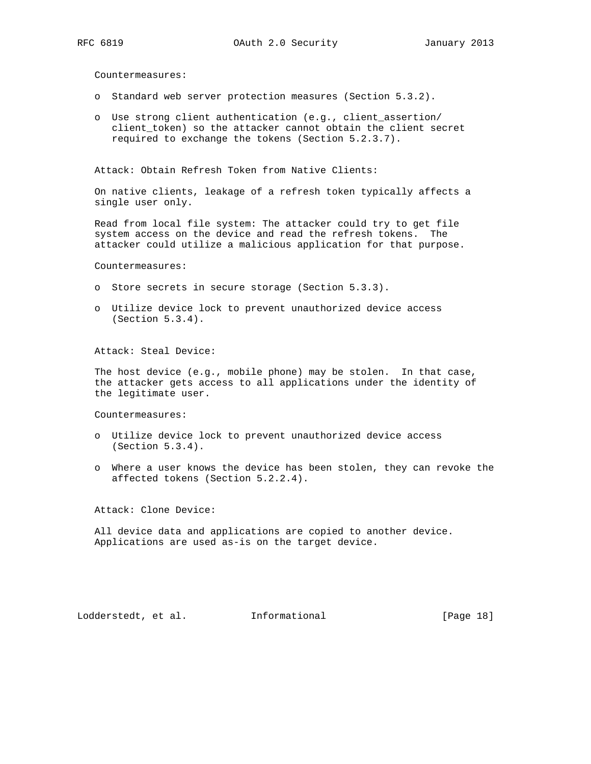Countermeasures:

- o Standard web server protection measures (Section 5.3.2).
- o Use strong client authentication (e.g., client\_assertion/ client\_token) so the attacker cannot obtain the client secret required to exchange the tokens (Section 5.2.3.7).

Attack: Obtain Refresh Token from Native Clients:

 On native clients, leakage of a refresh token typically affects a single user only.

 Read from local file system: The attacker could try to get file system access on the device and read the refresh tokens. The attacker could utilize a malicious application for that purpose.

Countermeasures:

- o Store secrets in secure storage (Section 5.3.3).
- o Utilize device lock to prevent unauthorized device access (Section 5.3.4).

Attack: Steal Device:

 The host device (e.g., mobile phone) may be stolen. In that case, the attacker gets access to all applications under the identity of the legitimate user.

Countermeasures:

- o Utilize device lock to prevent unauthorized device access (Section 5.3.4).
- o Where a user knows the device has been stolen, they can revoke the affected tokens (Section 5.2.2.4).

Attack: Clone Device:

 All device data and applications are copied to another device. Applications are used as-is on the target device.

Lodderstedt, et al. Informational [Page 18]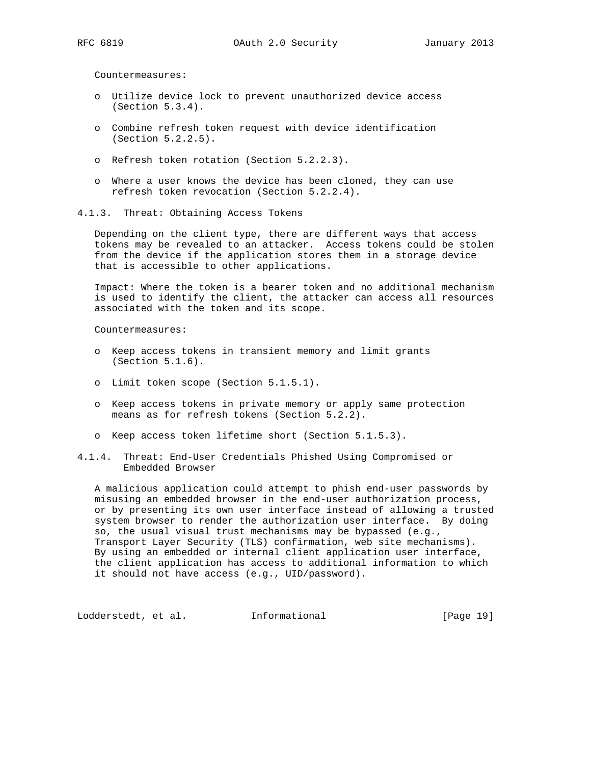Countermeasures:

- o Utilize device lock to prevent unauthorized device access (Section 5.3.4).
- o Combine refresh token request with device identification (Section 5.2.2.5).
- o Refresh token rotation (Section 5.2.2.3).
- o Where a user knows the device has been cloned, they can use refresh token revocation (Section 5.2.2.4).
- 4.1.3. Threat: Obtaining Access Tokens

 Depending on the client type, there are different ways that access tokens may be revealed to an attacker. Access tokens could be stolen from the device if the application stores them in a storage device that is accessible to other applications.

 Impact: Where the token is a bearer token and no additional mechanism is used to identify the client, the attacker can access all resources associated with the token and its scope.

Countermeasures:

- o Keep access tokens in transient memory and limit grants (Section 5.1.6).
- o Limit token scope (Section 5.1.5.1).
- o Keep access tokens in private memory or apply same protection means as for refresh tokens (Section 5.2.2).
- o Keep access token lifetime short (Section 5.1.5.3).
- 4.1.4. Threat: End-User Credentials Phished Using Compromised or Embedded Browser

 A malicious application could attempt to phish end-user passwords by misusing an embedded browser in the end-user authorization process, or by presenting its own user interface instead of allowing a trusted system browser to render the authorization user interface. By doing so, the usual visual trust mechanisms may be bypassed (e.g., Transport Layer Security (TLS) confirmation, web site mechanisms). By using an embedded or internal client application user interface, the client application has access to additional information to which it should not have access (e.g., UID/password).

Lodderstedt, et al. 1nformational [Page 19]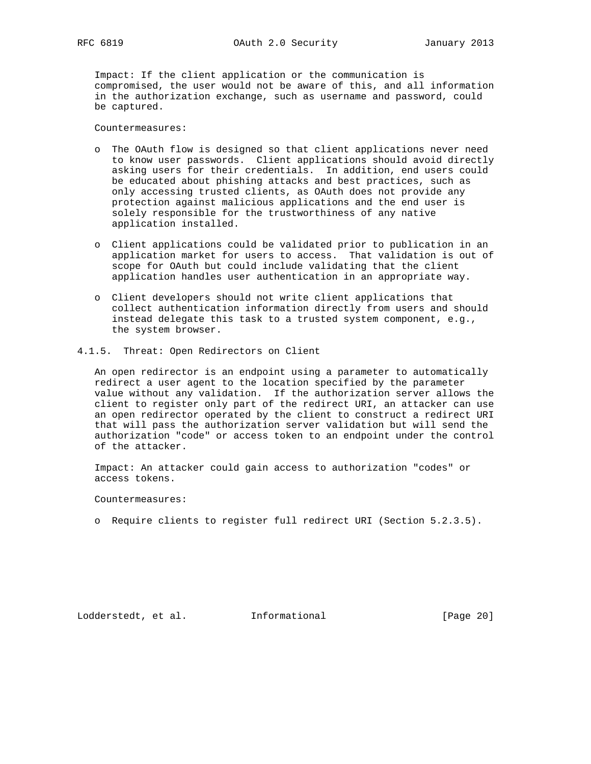Impact: If the client application or the communication is compromised, the user would not be aware of this, and all information in the authorization exchange, such as username and password, could be captured.

Countermeasures:

- o The OAuth flow is designed so that client applications never need to know user passwords. Client applications should avoid directly asking users for their credentials. In addition, end users could be educated about phishing attacks and best practices, such as only accessing trusted clients, as OAuth does not provide any protection against malicious applications and the end user is solely responsible for the trustworthiness of any native application installed.
- o Client applications could be validated prior to publication in an application market for users to access. That validation is out of scope for OAuth but could include validating that the client application handles user authentication in an appropriate way.
- o Client developers should not write client applications that collect authentication information directly from users and should instead delegate this task to a trusted system component, e.g., the system browser.
- 4.1.5. Threat: Open Redirectors on Client

 An open redirector is an endpoint using a parameter to automatically redirect a user agent to the location specified by the parameter value without any validation. If the authorization server allows the client to register only part of the redirect URI, an attacker can use an open redirector operated by the client to construct a redirect URI that will pass the authorization server validation but will send the authorization "code" or access token to an endpoint under the control of the attacker.

 Impact: An attacker could gain access to authorization "codes" or access tokens.

Countermeasures:

o Require clients to register full redirect URI (Section 5.2.3.5).

Lodderstedt, et al. Informational [Page 20]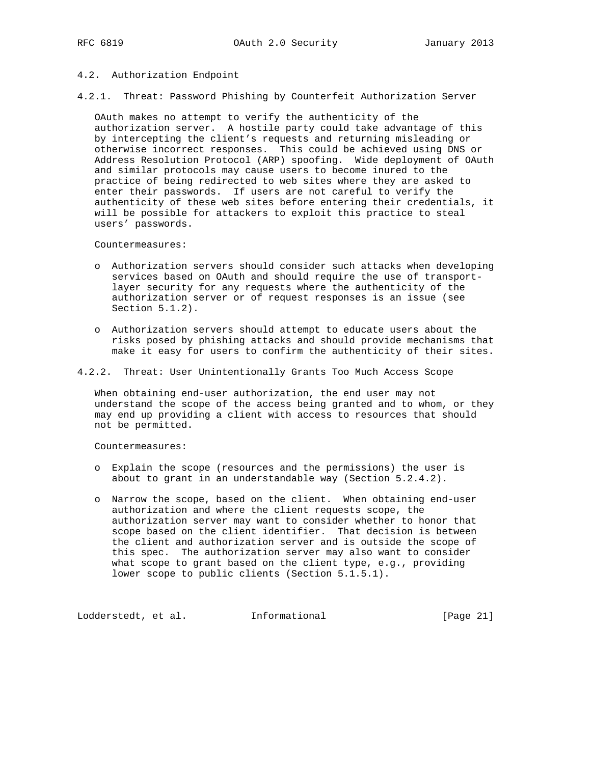4.2. Authorization Endpoint

4.2.1. Threat: Password Phishing by Counterfeit Authorization Server

 OAuth makes no attempt to verify the authenticity of the authorization server. A hostile party could take advantage of this by intercepting the client's requests and returning misleading or otherwise incorrect responses. This could be achieved using DNS or Address Resolution Protocol (ARP) spoofing. Wide deployment of OAuth and similar protocols may cause users to become inured to the practice of being redirected to web sites where they are asked to enter their passwords. If users are not careful to verify the authenticity of these web sites before entering their credentials, it will be possible for attackers to exploit this practice to steal users' passwords.

Countermeasures:

- o Authorization servers should consider such attacks when developing services based on OAuth and should require the use of transport layer security for any requests where the authenticity of the authorization server or of request responses is an issue (see Section 5.1.2).
- o Authorization servers should attempt to educate users about the risks posed by phishing attacks and should provide mechanisms that make it easy for users to confirm the authenticity of their sites.

4.2.2. Threat: User Unintentionally Grants Too Much Access Scope

 When obtaining end-user authorization, the end user may not understand the scope of the access being granted and to whom, or they may end up providing a client with access to resources that should not be permitted.

Countermeasures:

- o Explain the scope (resources and the permissions) the user is about to grant in an understandable way (Section 5.2.4.2).
- o Narrow the scope, based on the client. When obtaining end-user authorization and where the client requests scope, the authorization server may want to consider whether to honor that scope based on the client identifier. That decision is between the client and authorization server and is outside the scope of this spec. The authorization server may also want to consider what scope to grant based on the client type, e.g., providing lower scope to public clients (Section 5.1.5.1).

Lodderstedt, et al. 1nformational [Page 21]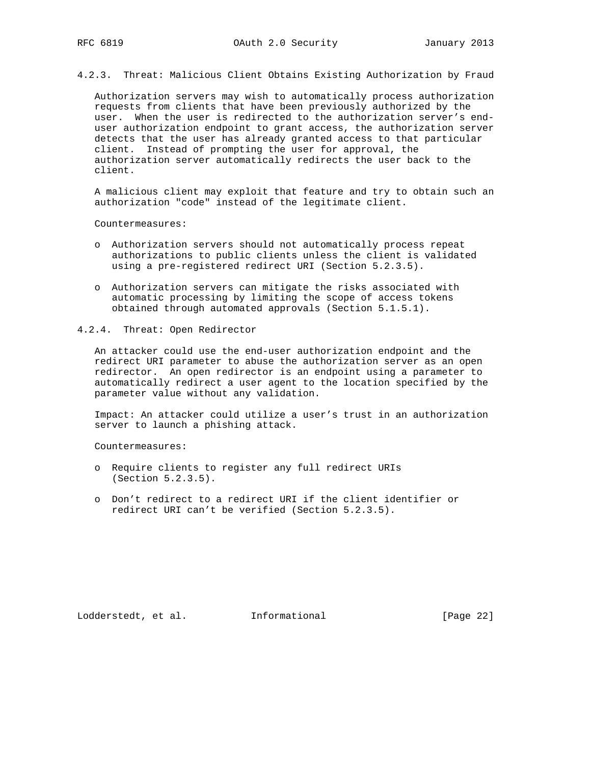4.2.3. Threat: Malicious Client Obtains Existing Authorization by Fraud

 Authorization servers may wish to automatically process authorization requests from clients that have been previously authorized by the user. When the user is redirected to the authorization server's end user authorization endpoint to grant access, the authorization server detects that the user has already granted access to that particular client. Instead of prompting the user for approval, the authorization server automatically redirects the user back to the client.

 A malicious client may exploit that feature and try to obtain such an authorization "code" instead of the legitimate client.

Countermeasures:

- o Authorization servers should not automatically process repeat authorizations to public clients unless the client is validated using a pre-registered redirect URI (Section 5.2.3.5).
- o Authorization servers can mitigate the risks associated with automatic processing by limiting the scope of access tokens obtained through automated approvals (Section 5.1.5.1).
- 4.2.4. Threat: Open Redirector

 An attacker could use the end-user authorization endpoint and the redirect URI parameter to abuse the authorization server as an open redirector. An open redirector is an endpoint using a parameter to automatically redirect a user agent to the location specified by the parameter value without any validation.

 Impact: An attacker could utilize a user's trust in an authorization server to launch a phishing attack.

Countermeasures:

- o Require clients to register any full redirect URIs (Section 5.2.3.5).
- o Don't redirect to a redirect URI if the client identifier or redirect URI can't be verified (Section 5.2.3.5).

Lodderstedt, et al. 1nformational [Page 22]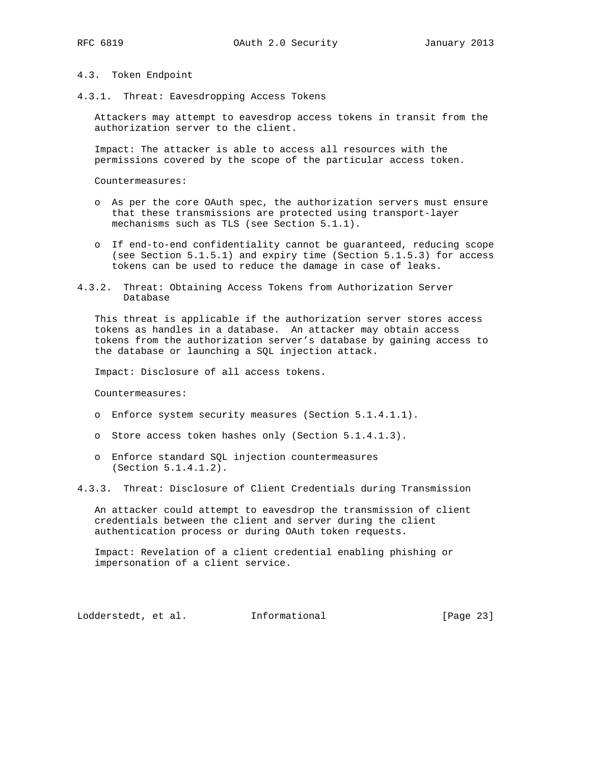## 4.3. Token Endpoint

4.3.1. Threat: Eavesdropping Access Tokens

 Attackers may attempt to eavesdrop access tokens in transit from the authorization server to the client.

 Impact: The attacker is able to access all resources with the permissions covered by the scope of the particular access token.

Countermeasures:

- o As per the core OAuth spec, the authorization servers must ensure that these transmissions are protected using transport-layer mechanisms such as TLS (see Section 5.1.1).
- o If end-to-end confidentiality cannot be guaranteed, reducing scope (see Section 5.1.5.1) and expiry time (Section 5.1.5.3) for access tokens can be used to reduce the damage in case of leaks.
- 4.3.2. Threat: Obtaining Access Tokens from Authorization Server Database

 This threat is applicable if the authorization server stores access tokens as handles in a database. An attacker may obtain access tokens from the authorization server's database by gaining access to the database or launching a SQL injection attack.

Impact: Disclosure of all access tokens.

Countermeasures:

- o Enforce system security measures (Section 5.1.4.1.1).
- o Store access token hashes only (Section 5.1.4.1.3).
- o Enforce standard SQL injection countermeasures (Section 5.1.4.1.2).
- 4.3.3. Threat: Disclosure of Client Credentials during Transmission

 An attacker could attempt to eavesdrop the transmission of client credentials between the client and server during the client authentication process or during OAuth token requests.

 Impact: Revelation of a client credential enabling phishing or impersonation of a client service.

Lodderstedt, et al. 1nformational [Page 23]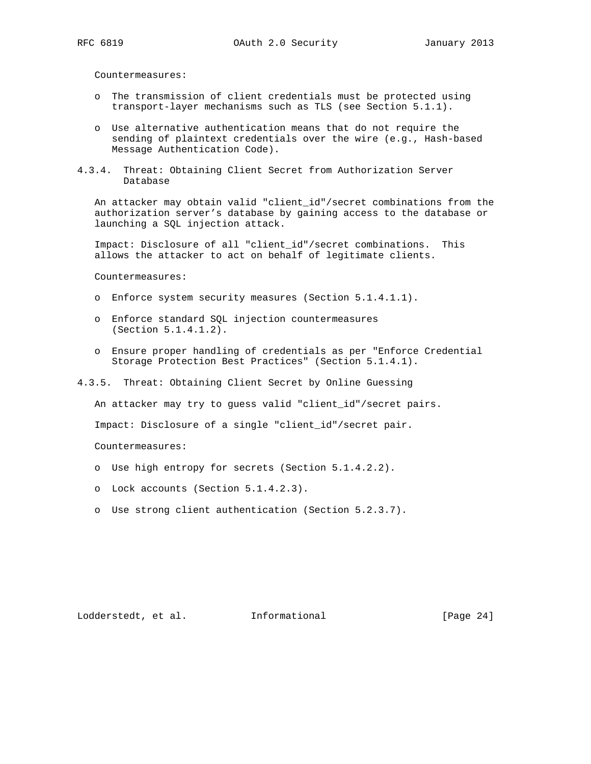Countermeasures:

- o The transmission of client credentials must be protected using transport-layer mechanisms such as TLS (see Section 5.1.1).
- o Use alternative authentication means that do not require the sending of plaintext credentials over the wire (e.g., Hash-based Message Authentication Code).
- 4.3.4. Threat: Obtaining Client Secret from Authorization Server Database

 An attacker may obtain valid "client\_id"/secret combinations from the authorization server's database by gaining access to the database or launching a SQL injection attack.

 Impact: Disclosure of all "client\_id"/secret combinations. This allows the attacker to act on behalf of legitimate clients.

Countermeasures:

- o Enforce system security measures (Section 5.1.4.1.1).
- o Enforce standard SQL injection countermeasures (Section 5.1.4.1.2).
- o Ensure proper handling of credentials as per "Enforce Credential Storage Protection Best Practices" (Section 5.1.4.1).
- 4.3.5. Threat: Obtaining Client Secret by Online Guessing

An attacker may try to guess valid "client\_id"/secret pairs.

Impact: Disclosure of a single "client\_id"/secret pair.

Countermeasures:

- o Use high entropy for secrets (Section 5.1.4.2.2).
- o Lock accounts (Section 5.1.4.2.3).
- o Use strong client authentication (Section 5.2.3.7).

Lodderstedt, et al. 1nformational [Page 24]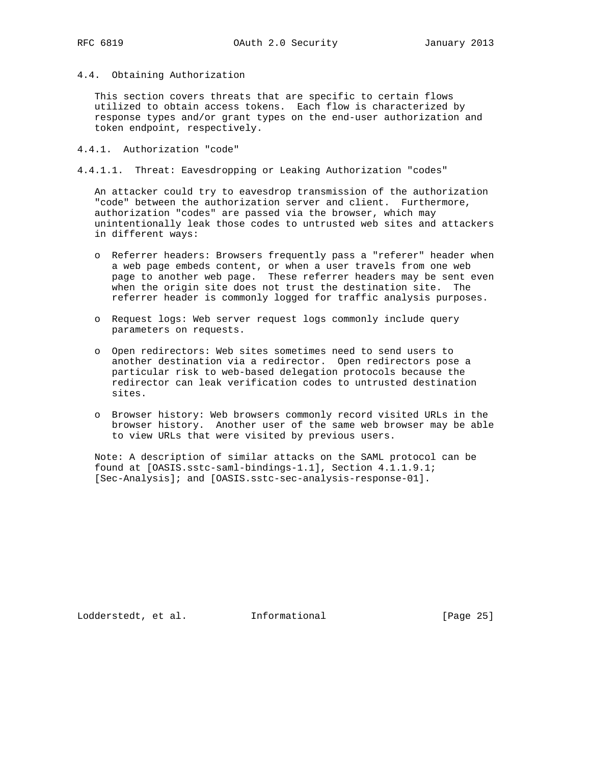4.4. Obtaining Authorization

 This section covers threats that are specific to certain flows utilized to obtain access tokens. Each flow is characterized by response types and/or grant types on the end-user authorization and token endpoint, respectively.

- 4.4.1. Authorization "code"
- 4.4.1.1. Threat: Eavesdropping or Leaking Authorization "codes"

 An attacker could try to eavesdrop transmission of the authorization "code" between the authorization server and client. Furthermore, authorization "codes" are passed via the browser, which may unintentionally leak those codes to untrusted web sites and attackers in different ways:

- o Referrer headers: Browsers frequently pass a "referer" header when a web page embeds content, or when a user travels from one web page to another web page. These referrer headers may be sent even when the origin site does not trust the destination site. The referrer header is commonly logged for traffic analysis purposes.
- o Request logs: Web server request logs commonly include query parameters on requests.
- o Open redirectors: Web sites sometimes need to send users to another destination via a redirector. Open redirectors pose a particular risk to web-based delegation protocols because the redirector can leak verification codes to untrusted destination sites.
- o Browser history: Web browsers commonly record visited URLs in the browser history. Another user of the same web browser may be able to view URLs that were visited by previous users.

 Note: A description of similar attacks on the SAML protocol can be found at [OASIS.sstc-saml-bindings-1.1], Section 4.1.1.9.1; [Sec-Analysis]; and [OASIS.sstc-sec-analysis-response-01].

Lodderstedt, et al. 1nformational [Page 25]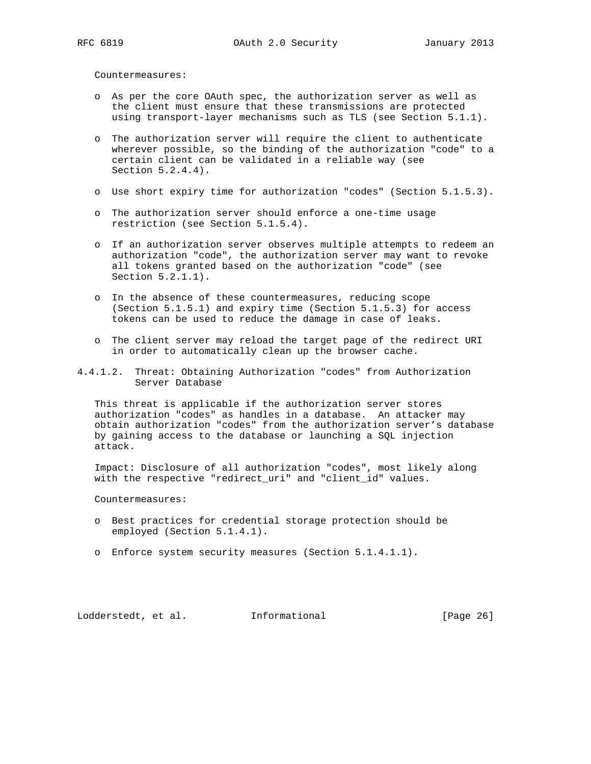Countermeasures:

- o As per the core OAuth spec, the authorization server as well as the client must ensure that these transmissions are protected using transport-layer mechanisms such as TLS (see Section 5.1.1).
- o The authorization server will require the client to authenticate wherever possible, so the binding of the authorization "code" to a certain client can be validated in a reliable way (see Section 5.2.4.4).
- o Use short expiry time for authorization "codes" (Section 5.1.5.3).
- o The authorization server should enforce a one-time usage restriction (see Section 5.1.5.4).
- o If an authorization server observes multiple attempts to redeem an authorization "code", the authorization server may want to revoke all tokens granted based on the authorization "code" (see Section 5.2.1.1).
- o In the absence of these countermeasures, reducing scope (Section 5.1.5.1) and expiry time (Section 5.1.5.3) for access tokens can be used to reduce the damage in case of leaks.
- o The client server may reload the target page of the redirect URI in order to automatically clean up the browser cache.
- 4.4.1.2. Threat: Obtaining Authorization "codes" from Authorization Server Database

 This threat is applicable if the authorization server stores authorization "codes" as handles in a database. An attacker may obtain authorization "codes" from the authorization server's database by gaining access to the database or launching a SQL injection attack.

 Impact: Disclosure of all authorization "codes", most likely along with the respective "redirect\_uri" and "client\_id" values.

Countermeasures:

- o Best practices for credential storage protection should be employed (Section 5.1.4.1).
- o Enforce system security measures (Section 5.1.4.1.1).

Lodderstedt, et al. 1nformational [Page 26]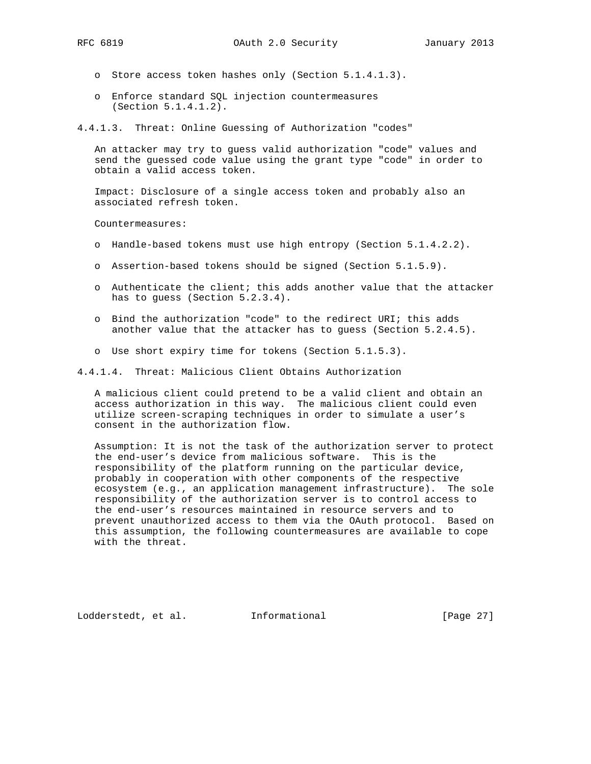- - o Store access token hashes only (Section 5.1.4.1.3).
	- o Enforce standard SQL injection countermeasures (Section 5.1.4.1.2).

4.4.1.3. Threat: Online Guessing of Authorization "codes"

 An attacker may try to guess valid authorization "code" values and send the guessed code value using the grant type "code" in order to obtain a valid access token.

 Impact: Disclosure of a single access token and probably also an associated refresh token.

Countermeasures:

- o Handle-based tokens must use high entropy (Section 5.1.4.2.2).
- o Assertion-based tokens should be signed (Section 5.1.5.9).
- o Authenticate the client; this adds another value that the attacker has to quess (Section 5.2.3.4).
- o Bind the authorization "code" to the redirect URI; this adds another value that the attacker has to guess (Section 5.2.4.5).
- o Use short expiry time for tokens (Section 5.1.5.3).

4.4.1.4. Threat: Malicious Client Obtains Authorization

 A malicious client could pretend to be a valid client and obtain an access authorization in this way. The malicious client could even utilize screen-scraping techniques in order to simulate a user's consent in the authorization flow.

 Assumption: It is not the task of the authorization server to protect the end-user's device from malicious software. This is the responsibility of the platform running on the particular device, probably in cooperation with other components of the respective ecosystem (e.g., an application management infrastructure). The sole responsibility of the authorization server is to control access to the end-user's resources maintained in resource servers and to prevent unauthorized access to them via the OAuth protocol. Based on this assumption, the following countermeasures are available to cope with the threat.

Lodderstedt, et al. Informational [Page 27]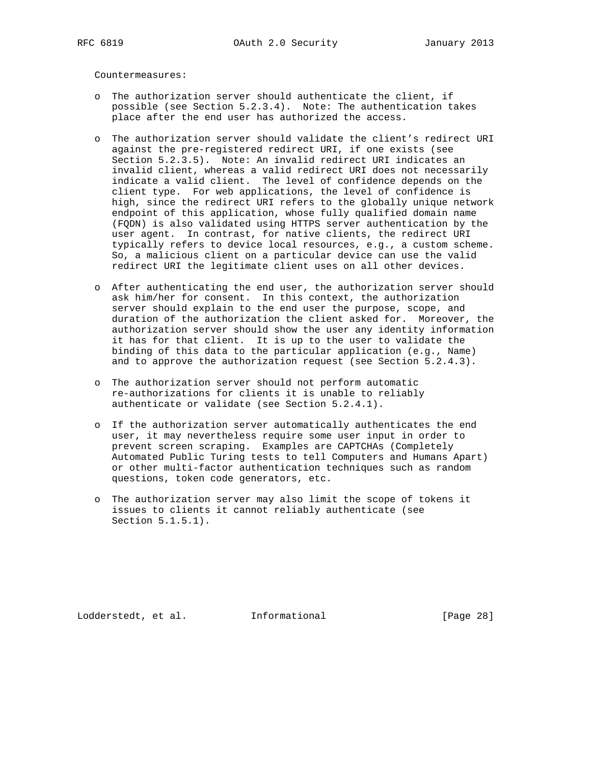Countermeasures:

- o The authorization server should authenticate the client, if possible (see Section 5.2.3.4). Note: The authentication takes place after the end user has authorized the access.
- o The authorization server should validate the client's redirect URI against the pre-registered redirect URI, if one exists (see Section 5.2.3.5). Note: An invalid redirect URI indicates an invalid client, whereas a valid redirect URI does not necessarily indicate a valid client. The level of confidence depends on the client type. For web applications, the level of confidence is high, since the redirect URI refers to the globally unique network endpoint of this application, whose fully qualified domain name (FQDN) is also validated using HTTPS server authentication by the user agent. In contrast, for native clients, the redirect URI typically refers to device local resources, e.g., a custom scheme. So, a malicious client on a particular device can use the valid redirect URI the legitimate client uses on all other devices.
- o After authenticating the end user, the authorization server should ask him/her for consent. In this context, the authorization server should explain to the end user the purpose, scope, and duration of the authorization the client asked for. Moreover, the authorization server should show the user any identity information it has for that client. It is up to the user to validate the binding of this data to the particular application (e.g., Name) and to approve the authorization request (see Section 5.2.4.3).
	- o The authorization server should not perform automatic re-authorizations for clients it is unable to reliably authenticate or validate (see Section 5.2.4.1).
	- o If the authorization server automatically authenticates the end user, it may nevertheless require some user input in order to prevent screen scraping. Examples are CAPTCHAs (Completely Automated Public Turing tests to tell Computers and Humans Apart) or other multi-factor authentication techniques such as random questions, token code generators, etc.
	- o The authorization server may also limit the scope of tokens it issues to clients it cannot reliably authenticate (see Section 5.1.5.1).

Lodderstedt, et al. Informational [Page 28]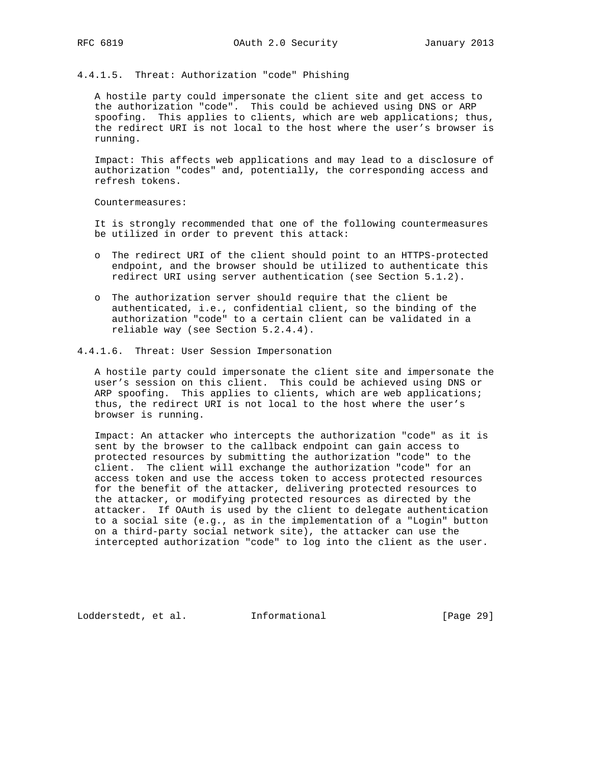4.4.1.5. Threat: Authorization "code" Phishing

 A hostile party could impersonate the client site and get access to the authorization "code". This could be achieved using DNS or ARP spoofing. This applies to clients, which are web applications; thus, the redirect URI is not local to the host where the user's browser is running.

 Impact: This affects web applications and may lead to a disclosure of authorization "codes" and, potentially, the corresponding access and refresh tokens.

Countermeasures:

 It is strongly recommended that one of the following countermeasures be utilized in order to prevent this attack:

- o The redirect URI of the client should point to an HTTPS-protected endpoint, and the browser should be utilized to authenticate this redirect URI using server authentication (see Section 5.1.2).
- o The authorization server should require that the client be authenticated, i.e., confidential client, so the binding of the authorization "code" to a certain client can be validated in a reliable way (see Section 5.2.4.4).

### 4.4.1.6. Threat: User Session Impersonation

 A hostile party could impersonate the client site and impersonate the user's session on this client. This could be achieved using DNS or ARP spoofing. This applies to clients, which are web applications; thus, the redirect URI is not local to the host where the user's browser is running.

 Impact: An attacker who intercepts the authorization "code" as it is sent by the browser to the callback endpoint can gain access to protected resources by submitting the authorization "code" to the client. The client will exchange the authorization "code" for an access token and use the access token to access protected resources for the benefit of the attacker, delivering protected resources to the attacker, or modifying protected resources as directed by the attacker. If OAuth is used by the client to delegate authentication to a social site (e.g., as in the implementation of a "Login" button on a third-party social network site), the attacker can use the intercepted authorization "code" to log into the client as the user.

Lodderstedt, et al. Informational [Page 29]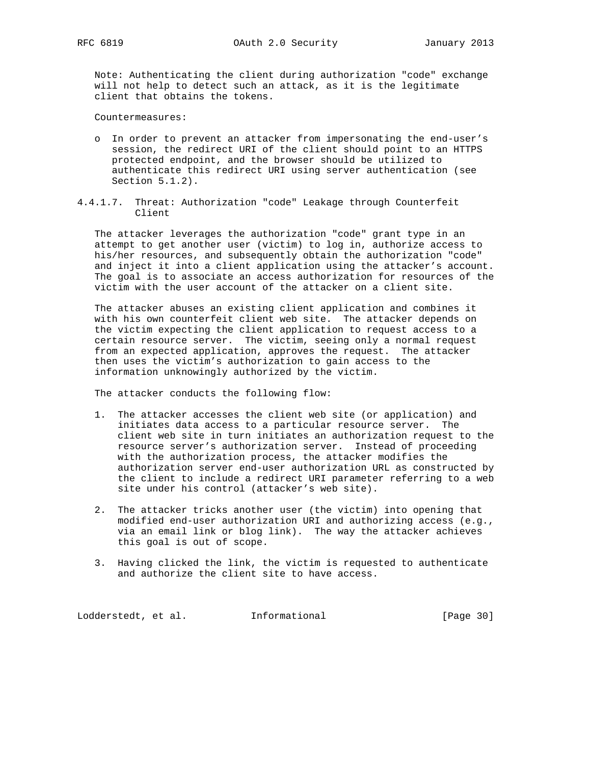Note: Authenticating the client during authorization "code" exchange will not help to detect such an attack, as it is the legitimate client that obtains the tokens.

Countermeasures:

- o In order to prevent an attacker from impersonating the end-user's session, the redirect URI of the client should point to an HTTPS protected endpoint, and the browser should be utilized to authenticate this redirect URI using server authentication (see Section 5.1.2).
- 4.4.1.7. Threat: Authorization "code" Leakage through Counterfeit Client

 The attacker leverages the authorization "code" grant type in an attempt to get another user (victim) to log in, authorize access to his/her resources, and subsequently obtain the authorization "code" and inject it into a client application using the attacker's account. The goal is to associate an access authorization for resources of the victim with the user account of the attacker on a client site.

 The attacker abuses an existing client application and combines it with his own counterfeit client web site. The attacker depends on the victim expecting the client application to request access to a certain resource server. The victim, seeing only a normal request from an expected application, approves the request. The attacker then uses the victim's authorization to gain access to the information unknowingly authorized by the victim.

The attacker conducts the following flow:

- 1. The attacker accesses the client web site (or application) and initiates data access to a particular resource server. The client web site in turn initiates an authorization request to the resource server's authorization server. Instead of proceeding with the authorization process, the attacker modifies the authorization server end-user authorization URL as constructed by the client to include a redirect URI parameter referring to a web site under his control (attacker's web site).
- 2. The attacker tricks another user (the victim) into opening that modified end-user authorization URI and authorizing access (e.g., via an email link or blog link). The way the attacker achieves this goal is out of scope.
- 3. Having clicked the link, the victim is requested to authenticate and authorize the client site to have access.

Lodderstedt, et al. 1nformational [Page 30]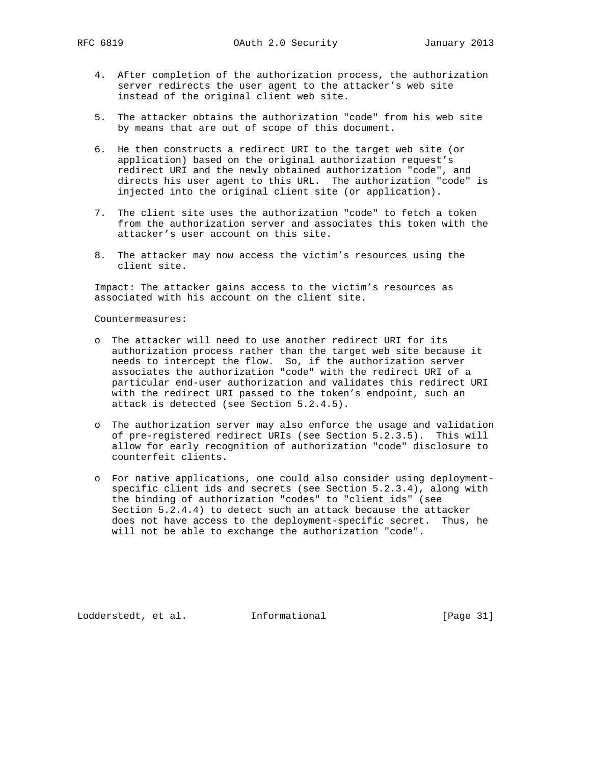- 4. After completion of the authorization process, the authorization server redirects the user agent to the attacker's web site instead of the original client web site.
- 5. The attacker obtains the authorization "code" from his web site by means that are out of scope of this document.
- 6. He then constructs a redirect URI to the target web site (or application) based on the original authorization request's redirect URI and the newly obtained authorization "code", and directs his user agent to this URL. The authorization "code" is injected into the original client site (or application).
- 7. The client site uses the authorization "code" to fetch a token from the authorization server and associates this token with the attacker's user account on this site.
- 8. The attacker may now access the victim's resources using the client site.

 Impact: The attacker gains access to the victim's resources as associated with his account on the client site.

Countermeasures:

- o The attacker will need to use another redirect URI for its authorization process rather than the target web site because it needs to intercept the flow. So, if the authorization server associates the authorization "code" with the redirect URI of a particular end-user authorization and validates this redirect URI with the redirect URI passed to the token's endpoint, such an attack is detected (see Section 5.2.4.5).
	- o The authorization server may also enforce the usage and validation of pre-registered redirect URIs (see Section 5.2.3.5). This will allow for early recognition of authorization "code" disclosure to counterfeit clients.
	- o For native applications, one could also consider using deployment specific client ids and secrets (see Section 5.2.3.4), along with the binding of authorization "codes" to "client\_ids" (see Section 5.2.4.4) to detect such an attack because the attacker does not have access to the deployment-specific secret. Thus, he will not be able to exchange the authorization "code".

Lodderstedt, et al. 1nformational [Page 31]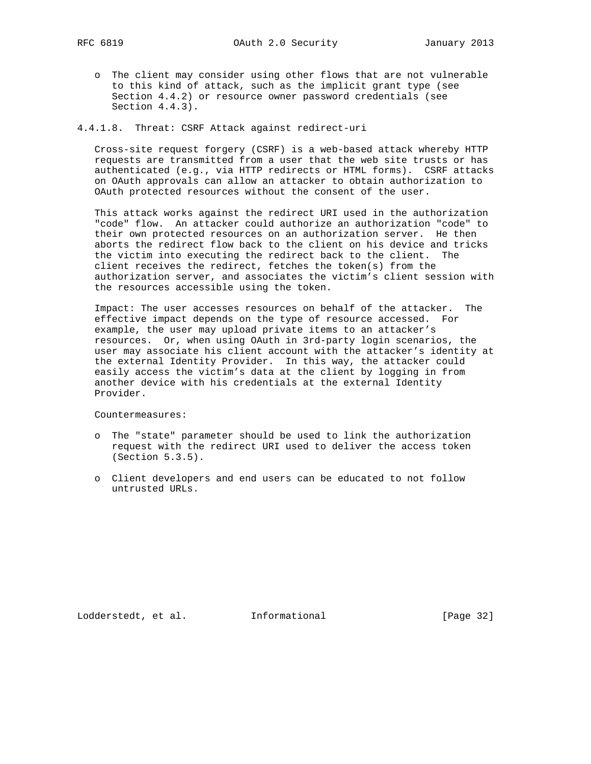o The client may consider using other flows that are not vulnerable to this kind of attack, such as the implicit grant type (see Section 4.4.2) or resource owner password credentials (see Section 4.4.3).

4.4.1.8. Threat: CSRF Attack against redirect-uri

 Cross-site request forgery (CSRF) is a web-based attack whereby HTTP requests are transmitted from a user that the web site trusts or has authenticated (e.g., via HTTP redirects or HTML forms). CSRF attacks on OAuth approvals can allow an attacker to obtain authorization to OAuth protected resources without the consent of the user.

 This attack works against the redirect URI used in the authorization "code" flow. An attacker could authorize an authorization "code" to their own protected resources on an authorization server. He then aborts the redirect flow back to the client on his device and tricks the victim into executing the redirect back to the client. The client receives the redirect, fetches the token(s) from the authorization server, and associates the victim's client session with the resources accessible using the token.

 Impact: The user accesses resources on behalf of the attacker. The effective impact depends on the type of resource accessed. For example, the user may upload private items to an attacker's resources. Or, when using OAuth in 3rd-party login scenarios, the user may associate his client account with the attacker's identity at the external Identity Provider. In this way, the attacker could easily access the victim's data at the client by logging in from another device with his credentials at the external Identity Provider.

Countermeasures:

- o The "state" parameter should be used to link the authorization request with the redirect URI used to deliver the access token (Section 5.3.5).
- o Client developers and end users can be educated to not follow untrusted URLs.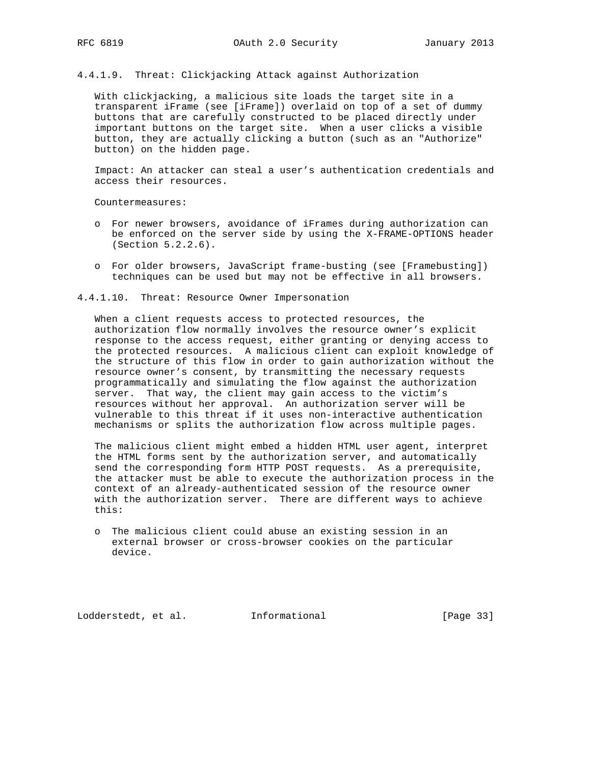4.4.1.9. Threat: Clickjacking Attack against Authorization

 With clickjacking, a malicious site loads the target site in a transparent iFrame (see [iFrame]) overlaid on top of a set of dummy buttons that are carefully constructed to be placed directly under important buttons on the target site. When a user clicks a visible button, they are actually clicking a button (such as an "Authorize" button) on the hidden page.

 Impact: An attacker can steal a user's authentication credentials and access their resources.

Countermeasures:

- o For newer browsers, avoidance of iFrames during authorization can be enforced on the server side by using the X-FRAME-OPTIONS header (Section 5.2.2.6).
- o For older browsers, JavaScript frame-busting (see [Framebusting]) techniques can be used but may not be effective in all browsers.

4.4.1.10. Threat: Resource Owner Impersonation

 When a client requests access to protected resources, the authorization flow normally involves the resource owner's explicit response to the access request, either granting or denying access to the protected resources. A malicious client can exploit knowledge of the structure of this flow in order to gain authorization without the resource owner's consent, by transmitting the necessary requests programmatically and simulating the flow against the authorization server. That way, the client may gain access to the victim's resources without her approval. An authorization server will be vulnerable to this threat if it uses non-interactive authentication mechanisms or splits the authorization flow across multiple pages.

 The malicious client might embed a hidden HTML user agent, interpret the HTML forms sent by the authorization server, and automatically send the corresponding form HTTP POST requests. As a prerequisite, the attacker must be able to execute the authorization process in the context of an already-authenticated session of the resource owner with the authorization server. There are different ways to achieve this:

 o The malicious client could abuse an existing session in an external browser or cross-browser cookies on the particular device.

Lodderstedt, et al. 1nformational [Page 33]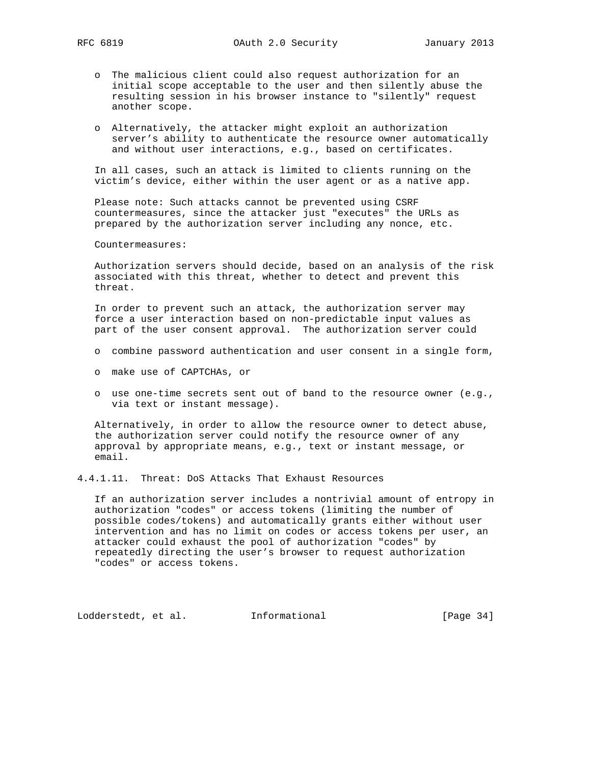- o The malicious client could also request authorization for an initial scope acceptable to the user and then silently abuse the resulting session in his browser instance to "silently" request another scope.
- o Alternatively, the attacker might exploit an authorization server's ability to authenticate the resource owner automatically and without user interactions, e.g., based on certificates.

 In all cases, such an attack is limited to clients running on the victim's device, either within the user agent or as a native app.

 Please note: Such attacks cannot be prevented using CSRF countermeasures, since the attacker just "executes" the URLs as prepared by the authorization server including any nonce, etc.

Countermeasures:

 Authorization servers should decide, based on an analysis of the risk associated with this threat, whether to detect and prevent this threat.

 In order to prevent such an attack, the authorization server may force a user interaction based on non-predictable input values as part of the user consent approval. The authorization server could

- o combine password authentication and user consent in a single form,
- o make use of CAPTCHAs, or
- o use one-time secrets sent out of band to the resource owner (e.g., via text or instant message).

 Alternatively, in order to allow the resource owner to detect abuse, the authorization server could notify the resource owner of any approval by appropriate means, e.g., text or instant message, or email.

4.4.1.11. Threat: DoS Attacks That Exhaust Resources

 If an authorization server includes a nontrivial amount of entropy in authorization "codes" or access tokens (limiting the number of possible codes/tokens) and automatically grants either without user intervention and has no limit on codes or access tokens per user, an attacker could exhaust the pool of authorization "codes" by repeatedly directing the user's browser to request authorization "codes" or access tokens.

Lodderstedt, et al. 1nformational [Page 34]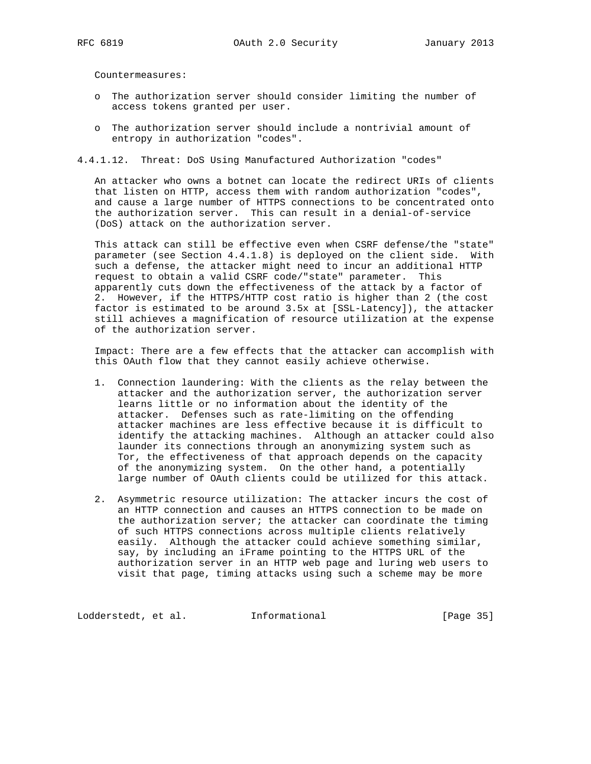Countermeasures:

- o The authorization server should consider limiting the number of access tokens granted per user.
- o The authorization server should include a nontrivial amount of entropy in authorization "codes".
- 4.4.1.12. Threat: DoS Using Manufactured Authorization "codes"

 An attacker who owns a botnet can locate the redirect URIs of clients that listen on HTTP, access them with random authorization "codes", and cause a large number of HTTPS connections to be concentrated onto the authorization server. This can result in a denial-of-service (DoS) attack on the authorization server.

 This attack can still be effective even when CSRF defense/the "state" parameter (see Section 4.4.1.8) is deployed on the client side. With such a defense, the attacker might need to incur an additional HTTP request to obtain a valid CSRF code/"state" parameter. This apparently cuts down the effectiveness of the attack by a factor of 2. However, if the HTTPS/HTTP cost ratio is higher than 2 (the cost factor is estimated to be around 3.5x at [SSL-Latency]), the attacker still achieves a magnification of resource utilization at the expense of the authorization server.

 Impact: There are a few effects that the attacker can accomplish with this OAuth flow that they cannot easily achieve otherwise.

- 1. Connection laundering: With the clients as the relay between the attacker and the authorization server, the authorization server learns little or no information about the identity of the attacker. Defenses such as rate-limiting on the offending attacker machines are less effective because it is difficult to identify the attacking machines. Although an attacker could also launder its connections through an anonymizing system such as Tor, the effectiveness of that approach depends on the capacity of the anonymizing system. On the other hand, a potentially large number of OAuth clients could be utilized for this attack.
- 2. Asymmetric resource utilization: The attacker incurs the cost of an HTTP connection and causes an HTTPS connection to be made on the authorization server; the attacker can coordinate the timing of such HTTPS connections across multiple clients relatively easily. Although the attacker could achieve something similar, say, by including an iFrame pointing to the HTTPS URL of the authorization server in an HTTP web page and luring web users to visit that page, timing attacks using such a scheme may be more

Lodderstedt, et al. 1nformational [Page 35]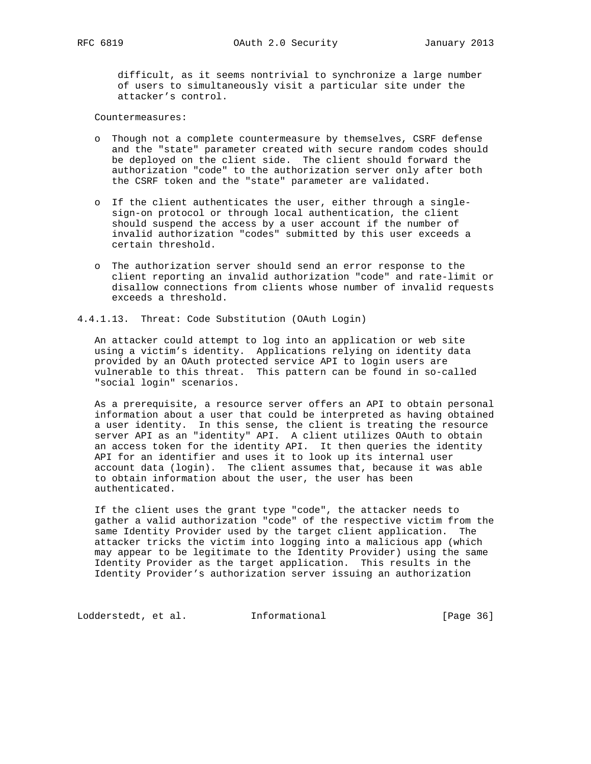difficult, as it seems nontrivial to synchronize a large number of users to simultaneously visit a particular site under the attacker's control.

Countermeasures:

- o Though not a complete countermeasure by themselves, CSRF defense and the "state" parameter created with secure random codes should be deployed on the client side. The client should forward the authorization "code" to the authorization server only after both the CSRF token and the "state" parameter are validated.
- o If the client authenticates the user, either through a single sign-on protocol or through local authentication, the client should suspend the access by a user account if the number of invalid authorization "codes" submitted by this user exceeds a certain threshold.
- o The authorization server should send an error response to the client reporting an invalid authorization "code" and rate-limit or disallow connections from clients whose number of invalid requests exceeds a threshold.

4.4.1.13. Threat: Code Substitution (OAuth Login)

 An attacker could attempt to log into an application or web site using a victim's identity. Applications relying on identity data provided by an OAuth protected service API to login users are vulnerable to this threat. This pattern can be found in so-called "social login" scenarios.

 As a prerequisite, a resource server offers an API to obtain personal information about a user that could be interpreted as having obtained a user identity. In this sense, the client is treating the resource server API as an "identity" API. A client utilizes OAuth to obtain an access token for the identity API. It then queries the identity API for an identifier and uses it to look up its internal user account data (login). The client assumes that, because it was able to obtain information about the user, the user has been authenticated.

 If the client uses the grant type "code", the attacker needs to gather a valid authorization "code" of the respective victim from the same Identity Provider used by the target client application. The attacker tricks the victim into logging into a malicious app (which may appear to be legitimate to the Identity Provider) using the same Identity Provider as the target application. This results in the Identity Provider's authorization server issuing an authorization

Lodderstedt, et al. Informational [Page 36]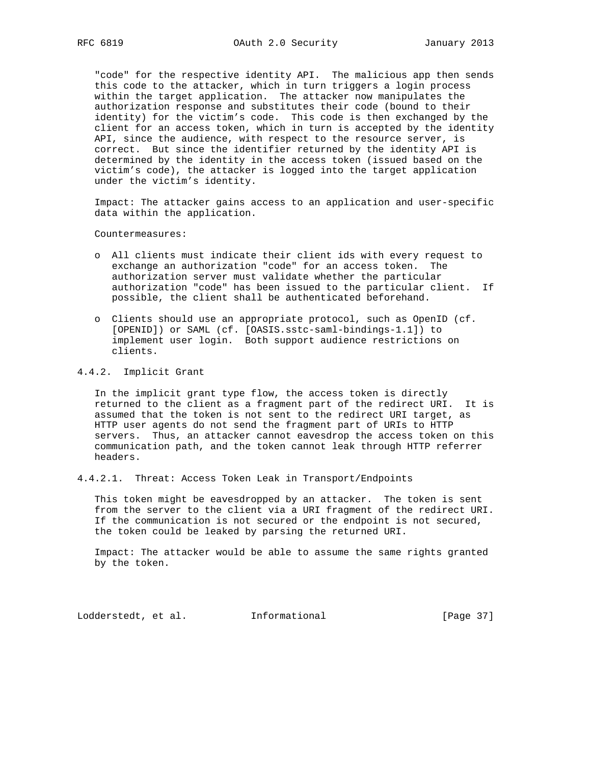"code" for the respective identity API. The malicious app then sends this code to the attacker, which in turn triggers a login process within the target application. The attacker now manipulates the authorization response and substitutes their code (bound to their identity) for the victim's code. This code is then exchanged by the client for an access token, which in turn is accepted by the identity API, since the audience, with respect to the resource server, is correct. But since the identifier returned by the identity API is determined by the identity in the access token (issued based on the victim's code), the attacker is logged into the target application under the victim's identity.

 Impact: The attacker gains access to an application and user-specific data within the application.

Countermeasures:

- o All clients must indicate their client ids with every request to exchange an authorization "code" for an access token. The authorization server must validate whether the particular authorization "code" has been issued to the particular client. If possible, the client shall be authenticated beforehand.
- o Clients should use an appropriate protocol, such as OpenID (cf. [OPENID]) or SAML (cf. [OASIS.sstc-saml-bindings-1.1]) to implement user login. Both support audience restrictions on clients.

## 4.4.2. Implicit Grant

 In the implicit grant type flow, the access token is directly returned to the client as a fragment part of the redirect URI. It is assumed that the token is not sent to the redirect URI target, as HTTP user agents do not send the fragment part of URIs to HTTP servers. Thus, an attacker cannot eavesdrop the access token on this communication path, and the token cannot leak through HTTP referrer headers.

4.4.2.1. Threat: Access Token Leak in Transport/Endpoints

 This token might be eavesdropped by an attacker. The token is sent from the server to the client via a URI fragment of the redirect URI. If the communication is not secured or the endpoint is not secured, the token could be leaked by parsing the returned URI.

 Impact: The attacker would be able to assume the same rights granted by the token.

Lodderstedt, et al. 1nformational [Page 37]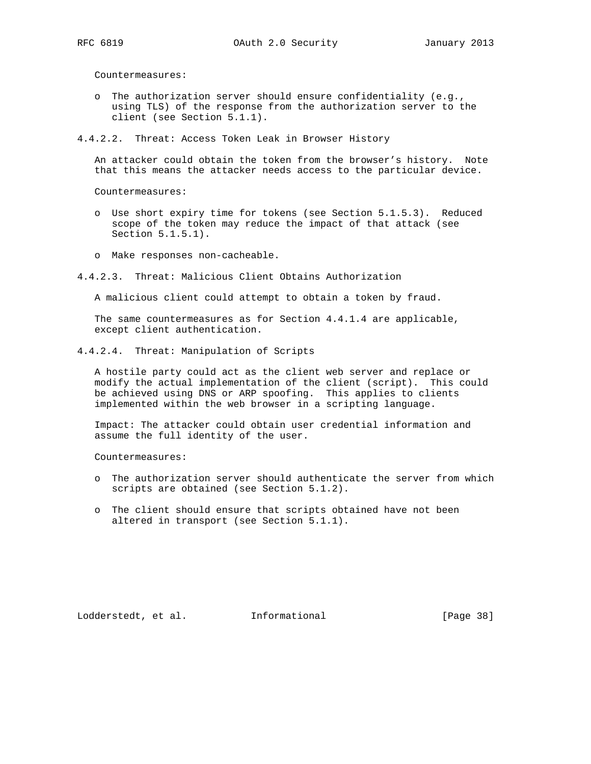Countermeasures:

 o The authorization server should ensure confidentiality (e.g., using TLS) of the response from the authorization server to the client (see Section 5.1.1).

#### 4.4.2.2. Threat: Access Token Leak in Browser History

 An attacker could obtain the token from the browser's history. Note that this means the attacker needs access to the particular device.

Countermeasures:

- o Use short expiry time for tokens (see Section 5.1.5.3). Reduced scope of the token may reduce the impact of that attack (see Section 5.1.5.1).
- o Make responses non-cacheable.
- 4.4.2.3. Threat: Malicious Client Obtains Authorization

A malicious client could attempt to obtain a token by fraud.

 The same countermeasures as for Section 4.4.1.4 are applicable, except client authentication.

4.4.2.4. Threat: Manipulation of Scripts

 A hostile party could act as the client web server and replace or modify the actual implementation of the client (script). This could be achieved using DNS or ARP spoofing. This applies to clients implemented within the web browser in a scripting language.

 Impact: The attacker could obtain user credential information and assume the full identity of the user.

Countermeasures:

- o The authorization server should authenticate the server from which scripts are obtained (see Section 5.1.2).
- o The client should ensure that scripts obtained have not been altered in transport (see Section 5.1.1).

Lodderstedt, et al. 1nformational [Page 38]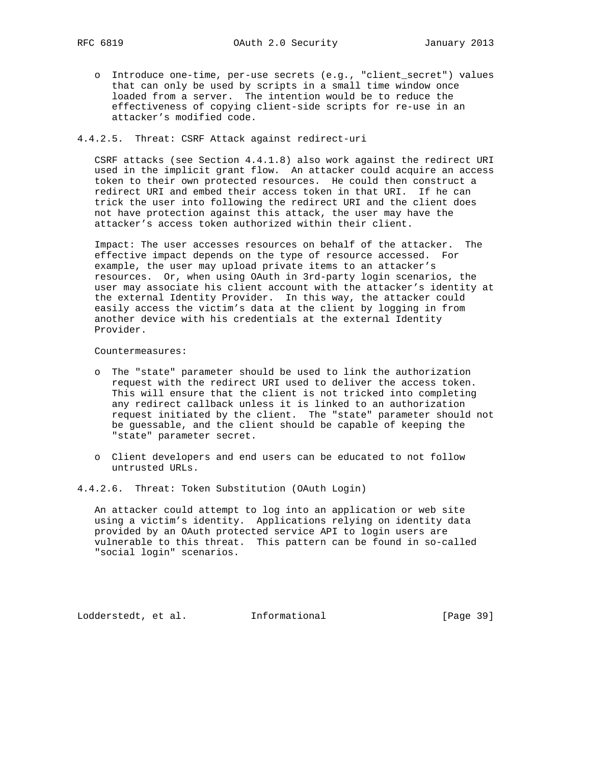o Introduce one-time, per-use secrets (e.g., "client\_secret") values that can only be used by scripts in a small time window once loaded from a server. The intention would be to reduce the effectiveness of copying client-side scripts for re-use in an attacker's modified code.

## 4.4.2.5. Threat: CSRF Attack against redirect-uri

 CSRF attacks (see Section 4.4.1.8) also work against the redirect URI used in the implicit grant flow. An attacker could acquire an access token to their own protected resources. He could then construct a redirect URI and embed their access token in that URI. If he can trick the user into following the redirect URI and the client does not have protection against this attack, the user may have the attacker's access token authorized within their client.

 Impact: The user accesses resources on behalf of the attacker. The effective impact depends on the type of resource accessed. For example, the user may upload private items to an attacker's resources. Or, when using OAuth in 3rd-party login scenarios, the user may associate his client account with the attacker's identity at the external Identity Provider. In this way, the attacker could easily access the victim's data at the client by logging in from another device with his credentials at the external Identity Provider.

Countermeasures:

- o The "state" parameter should be used to link the authorization request with the redirect URI used to deliver the access token. This will ensure that the client is not tricked into completing any redirect callback unless it is linked to an authorization request initiated by the client. The "state" parameter should not be guessable, and the client should be capable of keeping the "state" parameter secret.
- o Client developers and end users can be educated to not follow untrusted URLs.

4.4.2.6. Threat: Token Substitution (OAuth Login)

 An attacker could attempt to log into an application or web site using a victim's identity. Applications relying on identity data provided by an OAuth protected service API to login users are vulnerable to this threat. This pattern can be found in so-called "social login" scenarios.

Lodderstedt, et al. 1nformational [Page 39]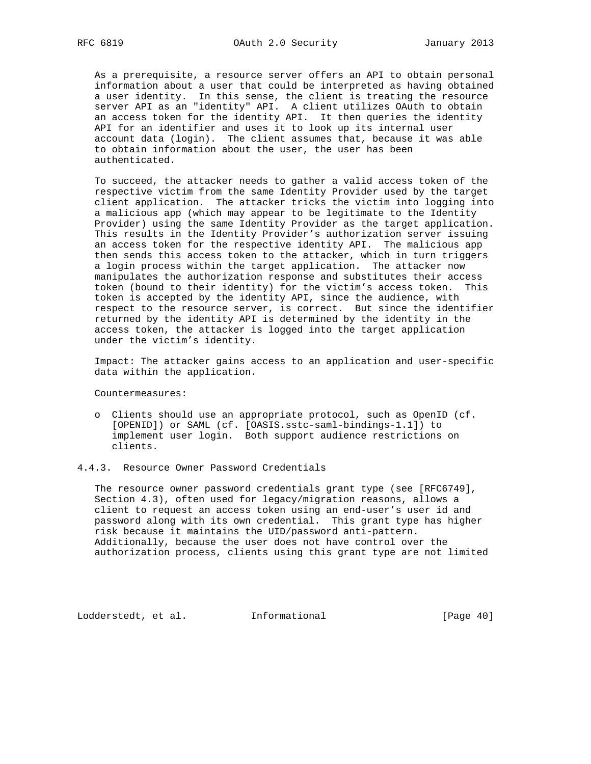As a prerequisite, a resource server offers an API to obtain personal information about a user that could be interpreted as having obtained a user identity. In this sense, the client is treating the resource server API as an "identity" API. A client utilizes OAuth to obtain an access token for the identity API. It then queries the identity API for an identifier and uses it to look up its internal user account data (login). The client assumes that, because it was able to obtain information about the user, the user has been authenticated.

 To succeed, the attacker needs to gather a valid access token of the respective victim from the same Identity Provider used by the target client application. The attacker tricks the victim into logging into a malicious app (which may appear to be legitimate to the Identity Provider) using the same Identity Provider as the target application. This results in the Identity Provider's authorization server issuing an access token for the respective identity API. The malicious app then sends this access token to the attacker, which in turn triggers a login process within the target application. The attacker now manipulates the authorization response and substitutes their access token (bound to their identity) for the victim's access token. This token is accepted by the identity API, since the audience, with respect to the resource server, is correct. But since the identifier returned by the identity API is determined by the identity in the access token, the attacker is logged into the target application under the victim's identity.

 Impact: The attacker gains access to an application and user-specific data within the application.

Countermeasures:

 o Clients should use an appropriate protocol, such as OpenID (cf. [OPENID]) or SAML (cf. [OASIS.sstc-saml-bindings-1.1]) to implement user login. Both support audience restrictions on clients.

#### 4.4.3. Resource Owner Password Credentials

 The resource owner password credentials grant type (see [RFC6749], Section 4.3), often used for legacy/migration reasons, allows a client to request an access token using an end-user's user id and password along with its own credential. This grant type has higher risk because it maintains the UID/password anti-pattern. Additionally, because the user does not have control over the authorization process, clients using this grant type are not limited

Lodderstedt, et al. 1nformational [Page 40]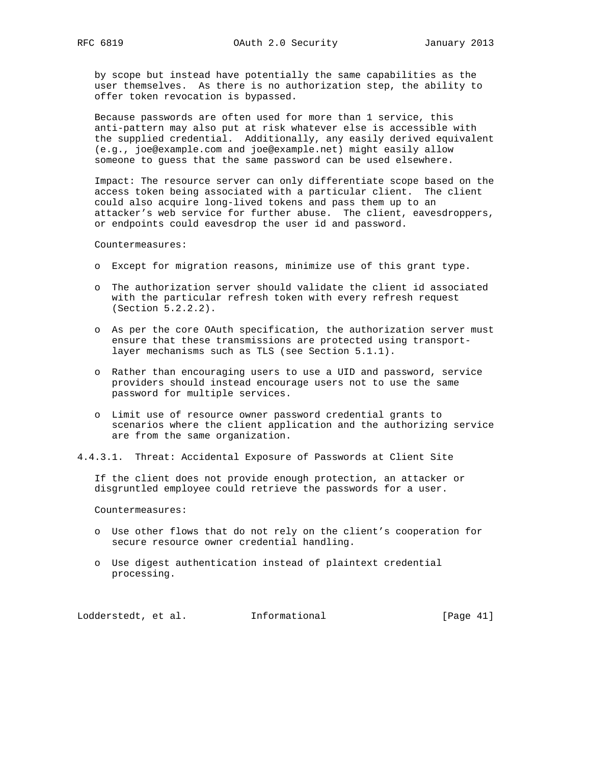by scope but instead have potentially the same capabilities as the user themselves. As there is no authorization step, the ability to offer token revocation is bypassed.

 Because passwords are often used for more than 1 service, this anti-pattern may also put at risk whatever else is accessible with the supplied credential. Additionally, any easily derived equivalent (e.g., joe@example.com and joe@example.net) might easily allow someone to guess that the same password can be used elsewhere.

 Impact: The resource server can only differentiate scope based on the access token being associated with a particular client. The client could also acquire long-lived tokens and pass them up to an attacker's web service for further abuse. The client, eavesdroppers, or endpoints could eavesdrop the user id and password.

Countermeasures:

- o Except for migration reasons, minimize use of this grant type.
- o The authorization server should validate the client id associated with the particular refresh token with every refresh request (Section 5.2.2.2).
- o As per the core OAuth specification, the authorization server must ensure that these transmissions are protected using transport layer mechanisms such as TLS (see Section 5.1.1).
- o Rather than encouraging users to use a UID and password, service providers should instead encourage users not to use the same password for multiple services.
- o Limit use of resource owner password credential grants to scenarios where the client application and the authorizing service are from the same organization.
- 4.4.3.1. Threat: Accidental Exposure of Passwords at Client Site

 If the client does not provide enough protection, an attacker or disgruntled employee could retrieve the passwords for a user.

Countermeasures:

- o Use other flows that do not rely on the client's cooperation for secure resource owner credential handling.
- o Use digest authentication instead of plaintext credential processing.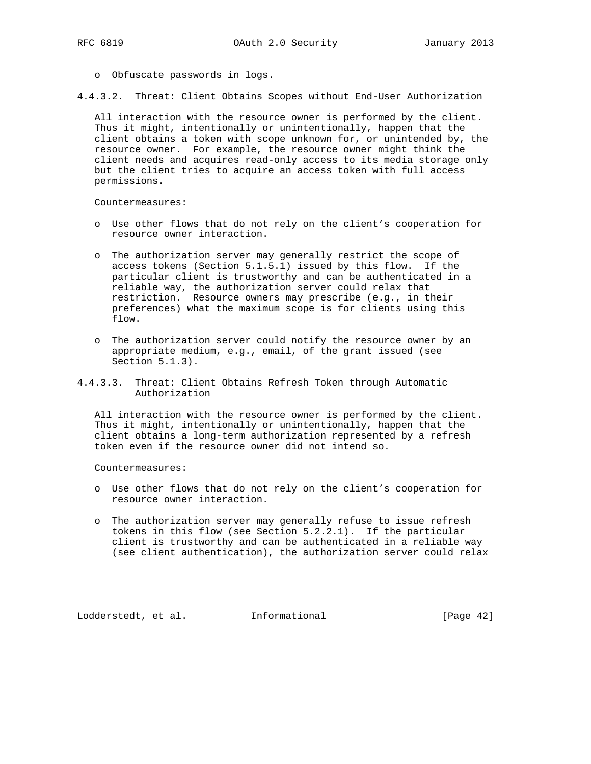o Obfuscate passwords in logs.

4.4.3.2. Threat: Client Obtains Scopes without End-User Authorization

 All interaction with the resource owner is performed by the client. Thus it might, intentionally or unintentionally, happen that the client obtains a token with scope unknown for, or unintended by, the resource owner. For example, the resource owner might think the client needs and acquires read-only access to its media storage only but the client tries to acquire an access token with full access permissions.

Countermeasures:

- o Use other flows that do not rely on the client's cooperation for resource owner interaction.
- o The authorization server may generally restrict the scope of access tokens (Section 5.1.5.1) issued by this flow. If the particular client is trustworthy and can be authenticated in a reliable way, the authorization server could relax that restriction. Resource owners may prescribe (e.g., in their preferences) what the maximum scope is for clients using this flow.
- o The authorization server could notify the resource owner by an appropriate medium, e.g., email, of the grant issued (see Section 5.1.3).
- 4.4.3.3. Threat: Client Obtains Refresh Token through Automatic Authorization

 All interaction with the resource owner is performed by the client. Thus it might, intentionally or unintentionally, happen that the client obtains a long-term authorization represented by a refresh token even if the resource owner did not intend so.

Countermeasures:

- o Use other flows that do not rely on the client's cooperation for resource owner interaction.
- o The authorization server may generally refuse to issue refresh tokens in this flow (see Section 5.2.2.1). If the particular client is trustworthy and can be authenticated in a reliable way (see client authentication), the authorization server could relax

Lodderstedt, et al. 1nformational [Page 42]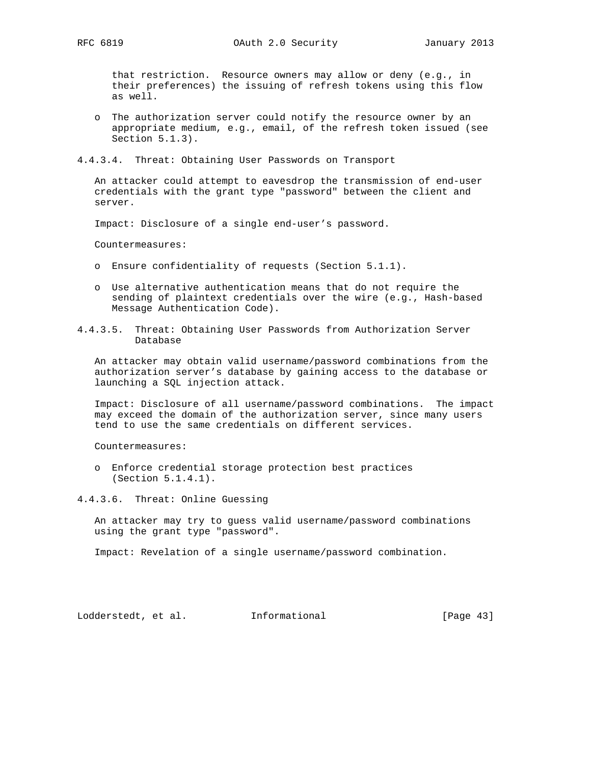that restriction. Resource owners may allow or deny (e.g., in their preferences) the issuing of refresh tokens using this flow as well.

 o The authorization server could notify the resource owner by an appropriate medium, e.g., email, of the refresh token issued (see Section 5.1.3).

4.4.3.4. Threat: Obtaining User Passwords on Transport

 An attacker could attempt to eavesdrop the transmission of end-user credentials with the grant type "password" between the client and server.

Impact: Disclosure of a single end-user's password.

Countermeasures:

- o Ensure confidentiality of requests (Section 5.1.1).
- o Use alternative authentication means that do not require the sending of plaintext credentials over the wire (e.g., Hash-based Message Authentication Code).
- 4.4.3.5. Threat: Obtaining User Passwords from Authorization Server Database

 An attacker may obtain valid username/password combinations from the authorization server's database by gaining access to the database or launching a SQL injection attack.

 Impact: Disclosure of all username/password combinations. The impact may exceed the domain of the authorization server, since many users tend to use the same credentials on different services.

Countermeasures:

 o Enforce credential storage protection best practices (Section 5.1.4.1).

4.4.3.6. Threat: Online Guessing

 An attacker may try to guess valid username/password combinations using the grant type "password".

Impact: Revelation of a single username/password combination.

Lodderstedt, et al. 1nformational [Page 43]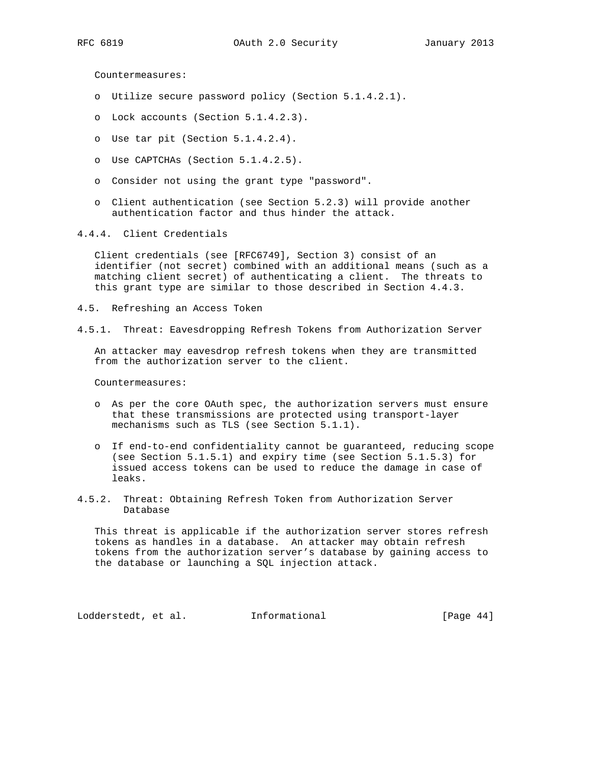Countermeasures:

- o Utilize secure password policy (Section 5.1.4.2.1).
- o Lock accounts (Section 5.1.4.2.3).
- o Use tar pit (Section 5.1.4.2.4).
- o Use CAPTCHAs (Section 5.1.4.2.5).
- o Consider not using the grant type "password".
- o Client authentication (see Section 5.2.3) will provide another authentication factor and thus hinder the attack.
- 4.4.4. Client Credentials

 Client credentials (see [RFC6749], Section 3) consist of an identifier (not secret) combined with an additional means (such as a matching client secret) of authenticating a client. The threats to this grant type are similar to those described in Section 4.4.3.

- 4.5. Refreshing an Access Token
- 4.5.1. Threat: Eavesdropping Refresh Tokens from Authorization Server

 An attacker may eavesdrop refresh tokens when they are transmitted from the authorization server to the client.

Countermeasures:

- o As per the core OAuth spec, the authorization servers must ensure that these transmissions are protected using transport-layer mechanisms such as TLS (see Section 5.1.1).
- o If end-to-end confidentiality cannot be guaranteed, reducing scope (see Section 5.1.5.1) and expiry time (see Section 5.1.5.3) for issued access tokens can be used to reduce the damage in case of leaks.
- 4.5.2. Threat: Obtaining Refresh Token from Authorization Server Database

 This threat is applicable if the authorization server stores refresh tokens as handles in a database. An attacker may obtain refresh tokens from the authorization server's database by gaining access to the database or launching a SQL injection attack.

Lodderstedt, et al. 1nformational [Page 44]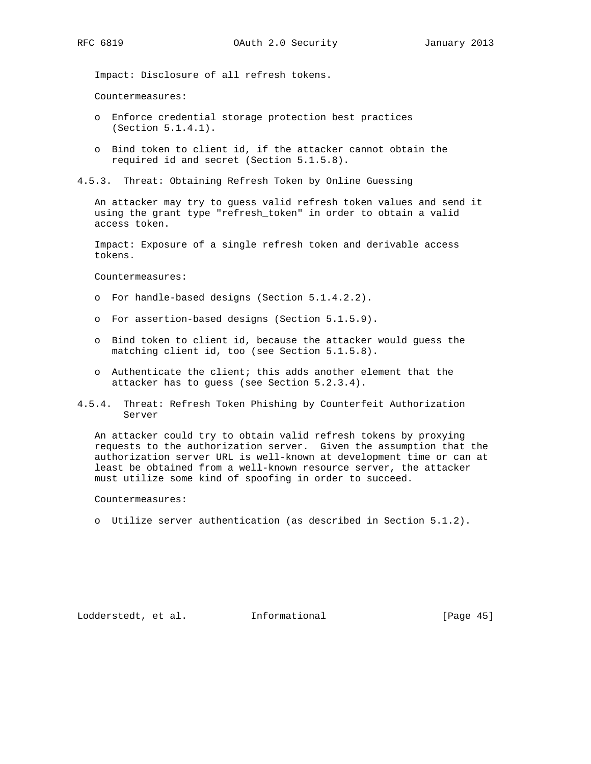Impact: Disclosure of all refresh tokens.

Countermeasures:

- o Enforce credential storage protection best practices (Section 5.1.4.1).
- o Bind token to client id, if the attacker cannot obtain the required id and secret (Section 5.1.5.8).
- 4.5.3. Threat: Obtaining Refresh Token by Online Guessing

 An attacker may try to guess valid refresh token values and send it using the grant type "refresh\_token" in order to obtain a valid access token.

 Impact: Exposure of a single refresh token and derivable access tokens.

Countermeasures:

- o For handle-based designs (Section 5.1.4.2.2).
- o For assertion-based designs (Section 5.1.5.9).
- o Bind token to client id, because the attacker would guess the matching client id, too (see Section 5.1.5.8).
- o Authenticate the client; this adds another element that the attacker has to guess (see Section 5.2.3.4).
- 4.5.4. Threat: Refresh Token Phishing by Counterfeit Authorization Server

 An attacker could try to obtain valid refresh tokens by proxying requests to the authorization server. Given the assumption that the authorization server URL is well-known at development time or can at least be obtained from a well-known resource server, the attacker must utilize some kind of spoofing in order to succeed.

Countermeasures:

o Utilize server authentication (as described in Section 5.1.2).

Lodderstedt, et al. Informational [Page 45]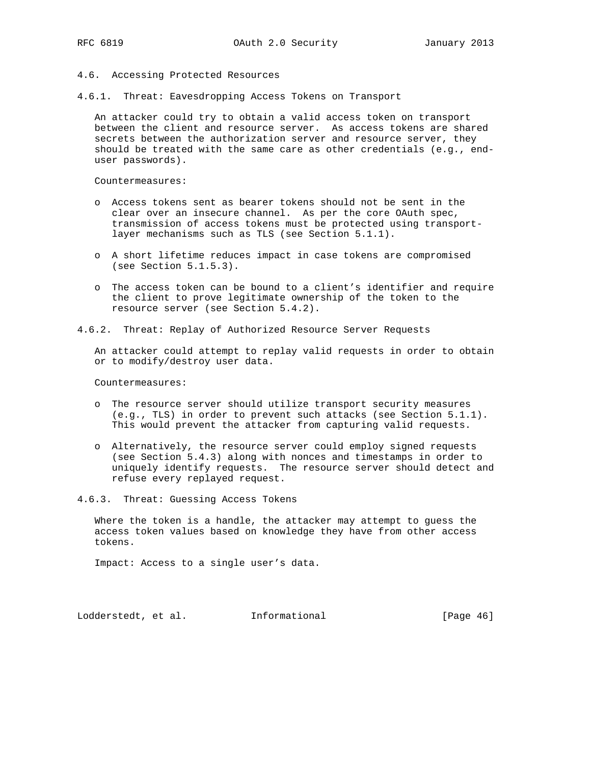### 4.6. Accessing Protected Resources

4.6.1. Threat: Eavesdropping Access Tokens on Transport

 An attacker could try to obtain a valid access token on transport between the client and resource server. As access tokens are shared secrets between the authorization server and resource server, they should be treated with the same care as other credentials (e.g., end user passwords).

Countermeasures:

- o Access tokens sent as bearer tokens should not be sent in the clear over an insecure channel. As per the core OAuth spec, transmission of access tokens must be protected using transport layer mechanisms such as TLS (see Section 5.1.1).
- o A short lifetime reduces impact in case tokens are compromised (see Section 5.1.5.3).
- o The access token can be bound to a client's identifier and require the client to prove legitimate ownership of the token to the resource server (see Section 5.4.2).

4.6.2. Threat: Replay of Authorized Resource Server Requests

 An attacker could attempt to replay valid requests in order to obtain or to modify/destroy user data.

Countermeasures:

- o The resource server should utilize transport security measures (e.g., TLS) in order to prevent such attacks (see Section 5.1.1). This would prevent the attacker from capturing valid requests.
- o Alternatively, the resource server could employ signed requests (see Section 5.4.3) along with nonces and timestamps in order to uniquely identify requests. The resource server should detect and refuse every replayed request.
- 4.6.3. Threat: Guessing Access Tokens

 Where the token is a handle, the attacker may attempt to guess the access token values based on knowledge they have from other access tokens.

Impact: Access to a single user's data.

Lodderstedt, et al. 1nformational [Page 46]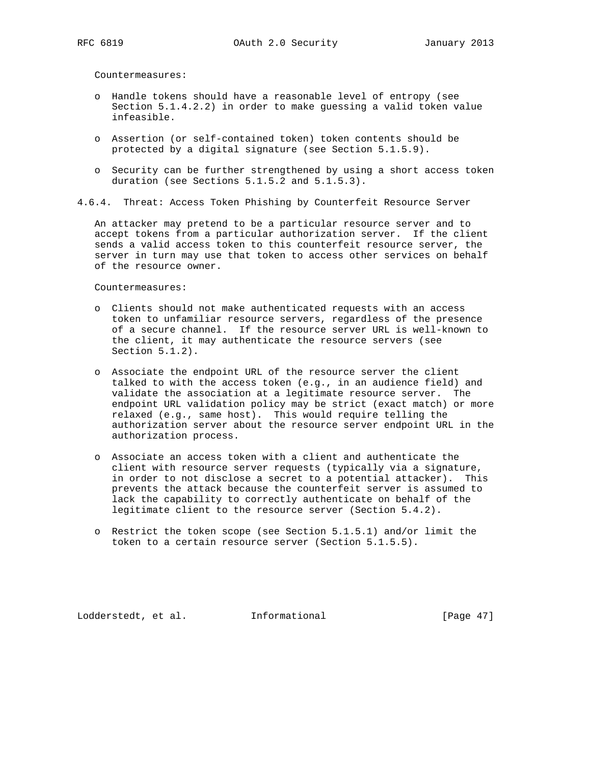Countermeasures:

- o Handle tokens should have a reasonable level of entropy (see Section 5.1.4.2.2) in order to make guessing a valid token value infeasible.
- o Assertion (or self-contained token) token contents should be protected by a digital signature (see Section 5.1.5.9).
- o Security can be further strengthened by using a short access token duration (see Sections 5.1.5.2 and 5.1.5.3).
- 4.6.4. Threat: Access Token Phishing by Counterfeit Resource Server

 An attacker may pretend to be a particular resource server and to accept tokens from a particular authorization server. If the client sends a valid access token to this counterfeit resource server, the server in turn may use that token to access other services on behalf of the resource owner.

Countermeasures:

- o Clients should not make authenticated requests with an access token to unfamiliar resource servers, regardless of the presence of a secure channel. If the resource server URL is well-known to the client, it may authenticate the resource servers (see Section 5.1.2).
- o Associate the endpoint URL of the resource server the client talked to with the access token (e.g., in an audience field) and validate the association at a legitimate resource server. The endpoint URL validation policy may be strict (exact match) or more relaxed (e.g., same host). This would require telling the authorization server about the resource server endpoint URL in the authorization process.
- o Associate an access token with a client and authenticate the client with resource server requests (typically via a signature, in order to not disclose a secret to a potential attacker). This prevents the attack because the counterfeit server is assumed to lack the capability to correctly authenticate on behalf of the legitimate client to the resource server (Section 5.4.2).
- o Restrict the token scope (see Section 5.1.5.1) and/or limit the token to a certain resource server (Section 5.1.5.5).

Lodderstedt, et al. Informational [Page 47]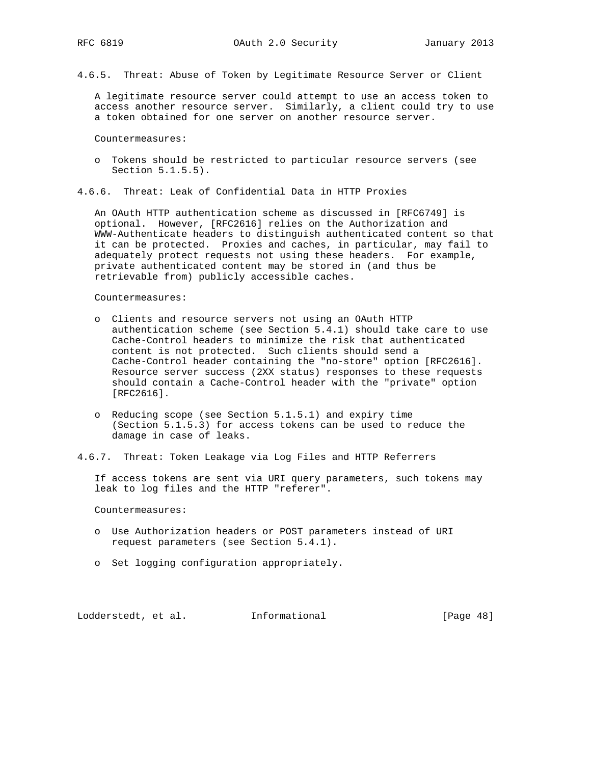4.6.5. Threat: Abuse of Token by Legitimate Resource Server or Client

 A legitimate resource server could attempt to use an access token to access another resource server. Similarly, a client could try to use a token obtained for one server on another resource server.

Countermeasures:

- o Tokens should be restricted to particular resource servers (see Section 5.1.5.5).
- 4.6.6. Threat: Leak of Confidential Data in HTTP Proxies

 An OAuth HTTP authentication scheme as discussed in [RFC6749] is optional. However, [RFC2616] relies on the Authorization and WWW-Authenticate headers to distinguish authenticated content so that it can be protected. Proxies and caches, in particular, may fail to adequately protect requests not using these headers. For example, private authenticated content may be stored in (and thus be retrievable from) publicly accessible caches.

Countermeasures:

- o Clients and resource servers not using an OAuth HTTP authentication scheme (see Section 5.4.1) should take care to use Cache-Control headers to minimize the risk that authenticated content is not protected. Such clients should send a Cache-Control header containing the "no-store" option [RFC2616]. Resource server success (2XX status) responses to these requests should contain a Cache-Control header with the "private" option [RFC2616].
- o Reducing scope (see Section 5.1.5.1) and expiry time (Section 5.1.5.3) for access tokens can be used to reduce the damage in case of leaks.
- 4.6.7. Threat: Token Leakage via Log Files and HTTP Referrers

 If access tokens are sent via URI query parameters, such tokens may leak to log files and the HTTP "referer".

Countermeasures:

- o Use Authorization headers or POST parameters instead of URI request parameters (see Section 5.4.1).
- o Set logging configuration appropriately.

Lodderstedt, et al. 1nformational [Page 48]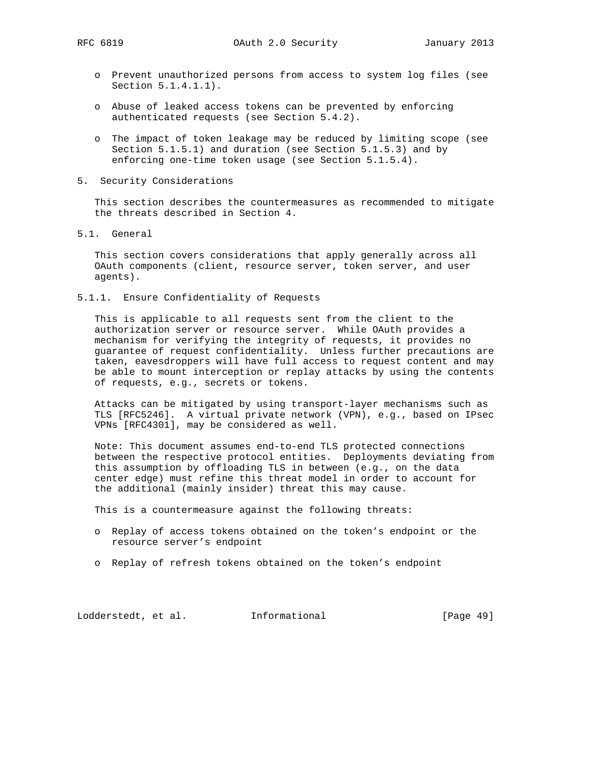- o Prevent unauthorized persons from access to system log files (see Section 5.1.4.1.1).
- o Abuse of leaked access tokens can be prevented by enforcing authenticated requests (see Section 5.4.2).
- o The impact of token leakage may be reduced by limiting scope (see Section 5.1.5.1) and duration (see Section 5.1.5.3) and by enforcing one-time token usage (see Section 5.1.5.4).
- 5. Security Considerations

 This section describes the countermeasures as recommended to mitigate the threats described in Section 4.

5.1. General

 This section covers considerations that apply generally across all OAuth components (client, resource server, token server, and user agents).

5.1.1. Ensure Confidentiality of Requests

 This is applicable to all requests sent from the client to the authorization server or resource server. While OAuth provides a mechanism for verifying the integrity of requests, it provides no guarantee of request confidentiality. Unless further precautions are taken, eavesdroppers will have full access to request content and may be able to mount interception or replay attacks by using the contents of requests, e.g., secrets or tokens.

 Attacks can be mitigated by using transport-layer mechanisms such as TLS [RFC5246]. A virtual private network (VPN), e.g., based on IPsec VPNs [RFC4301], may be considered as well.

 Note: This document assumes end-to-end TLS protected connections between the respective protocol entities. Deployments deviating from this assumption by offloading TLS in between (e.g., on the data center edge) must refine this threat model in order to account for the additional (mainly insider) threat this may cause.

This is a countermeasure against the following threats:

- o Replay of access tokens obtained on the token's endpoint or the resource server's endpoint
- o Replay of refresh tokens obtained on the token's endpoint

Lodderstedt, et al. 1nformational [Page 49]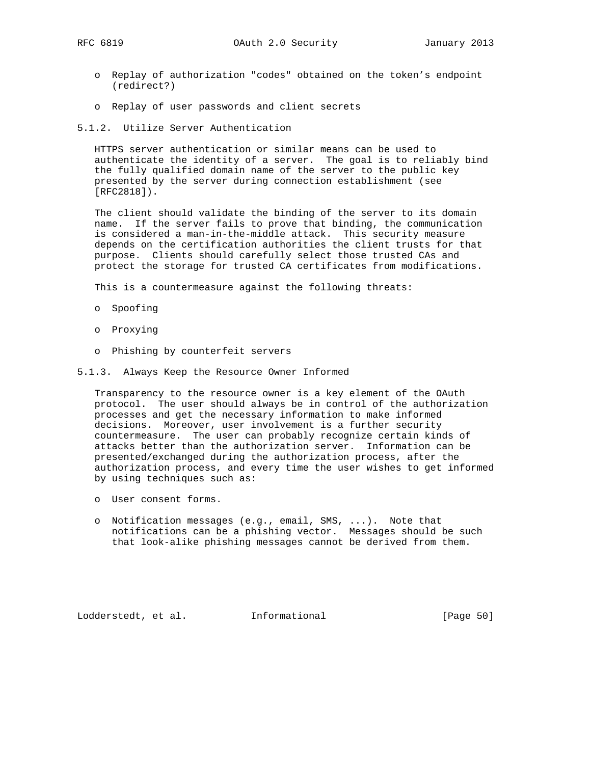- o Replay of authorization "codes" obtained on the token's endpoint (redirect?)
- o Replay of user passwords and client secrets
- 5.1.2. Utilize Server Authentication

 HTTPS server authentication or similar means can be used to authenticate the identity of a server. The goal is to reliably bind the fully qualified domain name of the server to the public key presented by the server during connection establishment (see [RFC2818]).

 The client should validate the binding of the server to its domain name. If the server fails to prove that binding, the communication is considered a man-in-the-middle attack. This security measure depends on the certification authorities the client trusts for that purpose. Clients should carefully select those trusted CAs and protect the storage for trusted CA certificates from modifications.

This is a countermeasure against the following threats:

- o Spoofing
- o Proxying
- o Phishing by counterfeit servers
- 5.1.3. Always Keep the Resource Owner Informed

 Transparency to the resource owner is a key element of the OAuth protocol. The user should always be in control of the authorization processes and get the necessary information to make informed decisions. Moreover, user involvement is a further security countermeasure. The user can probably recognize certain kinds of attacks better than the authorization server. Information can be presented/exchanged during the authorization process, after the authorization process, and every time the user wishes to get informed by using techniques such as:

- o User consent forms.
- o Notification messages (e.g., email, SMS, ...). Note that notifications can be a phishing vector. Messages should be such that look-alike phishing messages cannot be derived from them.

Lodderstedt, et al. Informational [Page 50]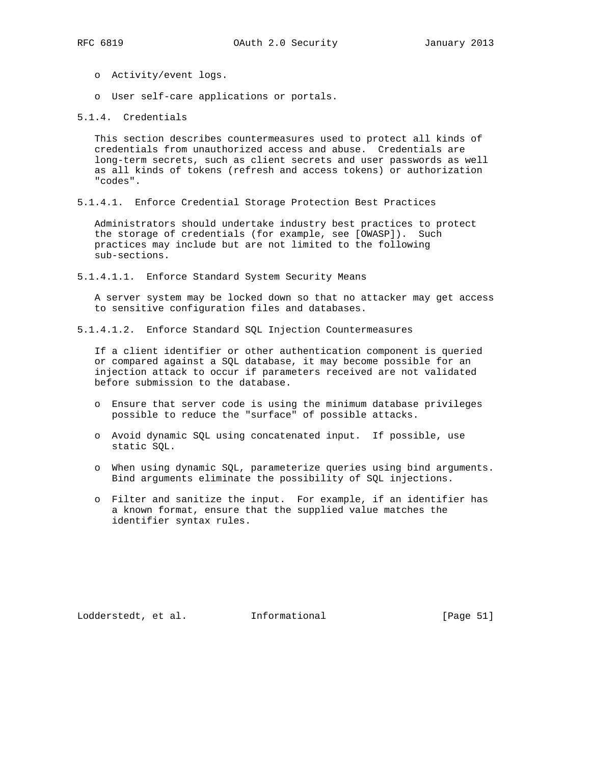- o Activity/event logs.
- o User self-care applications or portals.

5.1.4. Credentials

 This section describes countermeasures used to protect all kinds of credentials from unauthorized access and abuse. Credentials are long-term secrets, such as client secrets and user passwords as well as all kinds of tokens (refresh and access tokens) or authorization "codes".

5.1.4.1. Enforce Credential Storage Protection Best Practices

 Administrators should undertake industry best practices to protect the storage of credentials (for example, see [OWASP]). Such practices may include but are not limited to the following sub-sections.

5.1.4.1.1. Enforce Standard System Security Means

 A server system may be locked down so that no attacker may get access to sensitive configuration files and databases.

5.1.4.1.2. Enforce Standard SQL Injection Countermeasures

 If a client identifier or other authentication component is queried or compared against a SQL database, it may become possible for an injection attack to occur if parameters received are not validated before submission to the database.

- o Ensure that server code is using the minimum database privileges possible to reduce the "surface" of possible attacks.
- o Avoid dynamic SQL using concatenated input. If possible, use static SQL.
- o When using dynamic SQL, parameterize queries using bind arguments. Bind arguments eliminate the possibility of SQL injections.
- o Filter and sanitize the input. For example, if an identifier has a known format, ensure that the supplied value matches the identifier syntax rules.

Lodderstedt, et al. 1nformational [Page 51]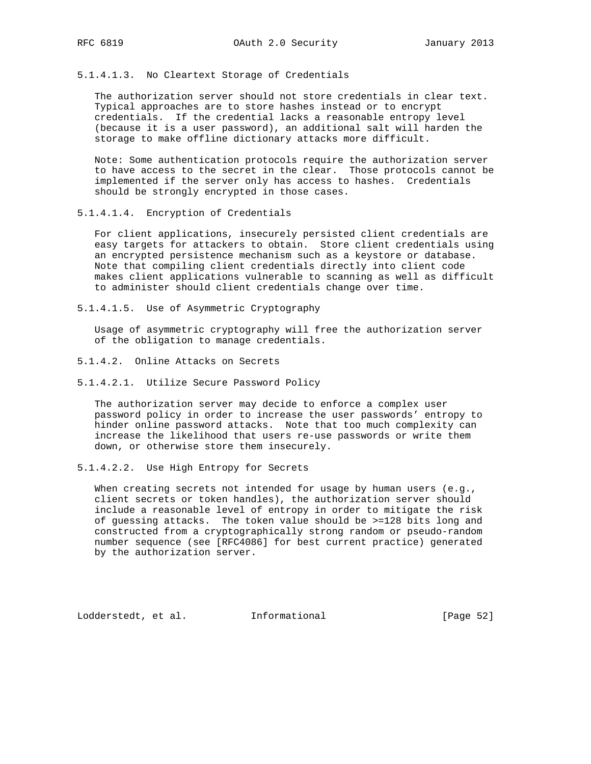5.1.4.1.3. No Cleartext Storage of Credentials

 The authorization server should not store credentials in clear text. Typical approaches are to store hashes instead or to encrypt credentials. If the credential lacks a reasonable entropy level (because it is a user password), an additional salt will harden the storage to make offline dictionary attacks more difficult.

 Note: Some authentication protocols require the authorization server to have access to the secret in the clear. Those protocols cannot be implemented if the server only has access to hashes. Credentials should be strongly encrypted in those cases.

5.1.4.1.4. Encryption of Credentials

 For client applications, insecurely persisted client credentials are easy targets for attackers to obtain. Store client credentials using an encrypted persistence mechanism such as a keystore or database. Note that compiling client credentials directly into client code makes client applications vulnerable to scanning as well as difficult to administer should client credentials change over time.

5.1.4.1.5. Use of Asymmetric Cryptography

 Usage of asymmetric cryptography will free the authorization server of the obligation to manage credentials.

- 5.1.4.2. Online Attacks on Secrets
- 5.1.4.2.1. Utilize Secure Password Policy

 The authorization server may decide to enforce a complex user password policy in order to increase the user passwords' entropy to hinder online password attacks. Note that too much complexity can increase the likelihood that users re-use passwords or write them down, or otherwise store them insecurely.

5.1.4.2.2. Use High Entropy for Secrets

When creating secrets not intended for usage by human users (e.g., client secrets or token handles), the authorization server should include a reasonable level of entropy in order to mitigate the risk of guessing attacks. The token value should be >=128 bits long and constructed from a cryptographically strong random or pseudo-random number sequence (see [RFC4086] for best current practice) generated by the authorization server.

Lodderstedt, et al. 1nformational [Page 52]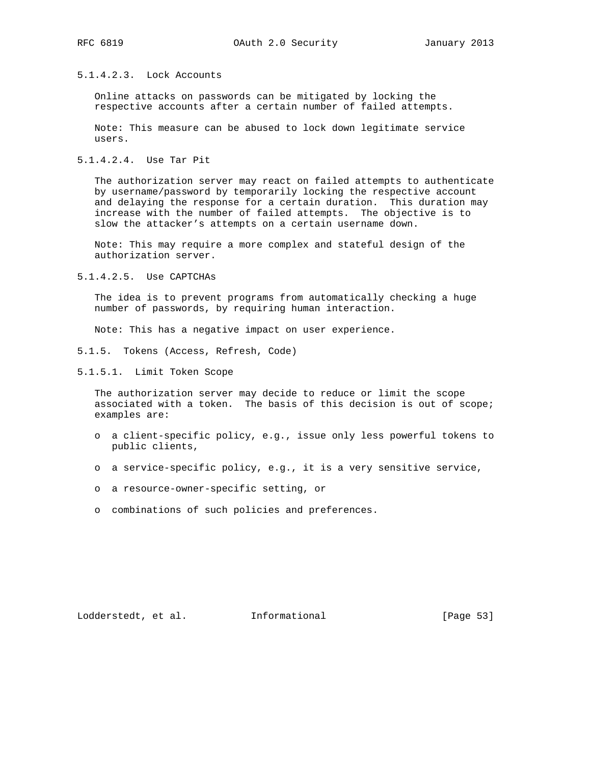## 5.1.4.2.3. Lock Accounts

 Online attacks on passwords can be mitigated by locking the respective accounts after a certain number of failed attempts.

 Note: This measure can be abused to lock down legitimate service users.

5.1.4.2.4. Use Tar Pit

 The authorization server may react on failed attempts to authenticate by username/password by temporarily locking the respective account and delaying the response for a certain duration. This duration may increase with the number of failed attempts. The objective is to slow the attacker's attempts on a certain username down.

 Note: This may require a more complex and stateful design of the authorization server.

5.1.4.2.5. Use CAPTCHAs

 The idea is to prevent programs from automatically checking a huge number of passwords, by requiring human interaction.

Note: This has a negative impact on user experience.

- 5.1.5. Tokens (Access, Refresh, Code)
- 5.1.5.1. Limit Token Scope

 The authorization server may decide to reduce or limit the scope associated with a token. The basis of this decision is out of scope; examples are:

- o a client-specific policy, e.g., issue only less powerful tokens to public clients,
- o a service-specific policy, e.g., it is a very sensitive service,
- o a resource-owner-specific setting, or
- o combinations of such policies and preferences.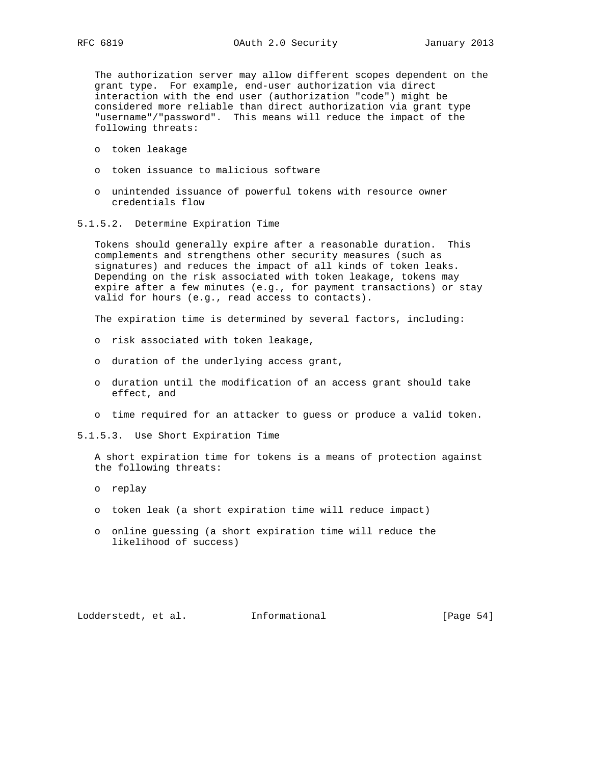The authorization server may allow different scopes dependent on the grant type. For example, end-user authorization via direct interaction with the end user (authorization "code") might be considered more reliable than direct authorization via grant type "username"/"password". This means will reduce the impact of the following threats:

- o token leakage
- o token issuance to malicious software
- o unintended issuance of powerful tokens with resource owner credentials flow
- 5.1.5.2. Determine Expiration Time

 Tokens should generally expire after a reasonable duration. This complements and strengthens other security measures (such as signatures) and reduces the impact of all kinds of token leaks. Depending on the risk associated with token leakage, tokens may expire after a few minutes (e.g., for payment transactions) or stay valid for hours (e.g., read access to contacts).

The expiration time is determined by several factors, including:

- o risk associated with token leakage,
- o duration of the underlying access grant,
- o duration until the modification of an access grant should take effect, and
- o time required for an attacker to guess or produce a valid token.
- 5.1.5.3. Use Short Expiration Time

 A short expiration time for tokens is a means of protection against the following threats:

- o replay
- o token leak (a short expiration time will reduce impact)
- o online guessing (a short expiration time will reduce the likelihood of success)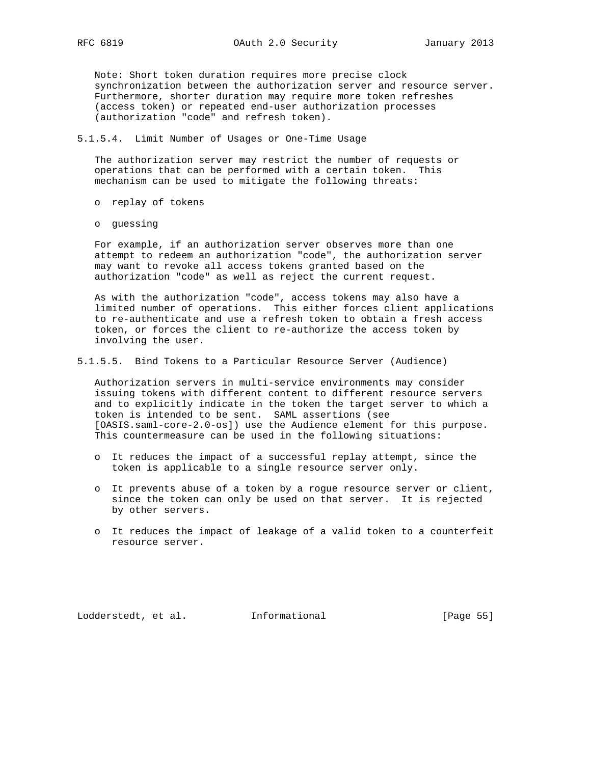Note: Short token duration requires more precise clock synchronization between the authorization server and resource server. Furthermore, shorter duration may require more token refreshes (access token) or repeated end-user authorization processes (authorization "code" and refresh token).

### 5.1.5.4. Limit Number of Usages or One-Time Usage

 The authorization server may restrict the number of requests or operations that can be performed with a certain token. This mechanism can be used to mitigate the following threats:

- o replay of tokens
- o guessing

 For example, if an authorization server observes more than one attempt to redeem an authorization "code", the authorization server may want to revoke all access tokens granted based on the authorization "code" as well as reject the current request.

 As with the authorization "code", access tokens may also have a limited number of operations. This either forces client applications to re-authenticate and use a refresh token to obtain a fresh access token, or forces the client to re-authorize the access token by involving the user.

5.1.5.5. Bind Tokens to a Particular Resource Server (Audience)

 Authorization servers in multi-service environments may consider issuing tokens with different content to different resource servers and to explicitly indicate in the token the target server to which a token is intended to be sent. SAML assertions (see [OASIS.saml-core-2.0-os]) use the Audience element for this purpose. This countermeasure can be used in the following situations:

- o It reduces the impact of a successful replay attempt, since the token is applicable to a single resource server only.
- o It prevents abuse of a token by a rogue resource server or client, since the token can only be used on that server. It is rejected by other servers.
- o It reduces the impact of leakage of a valid token to a counterfeit resource server.

Lodderstedt, et al. 1nformational [Page 55]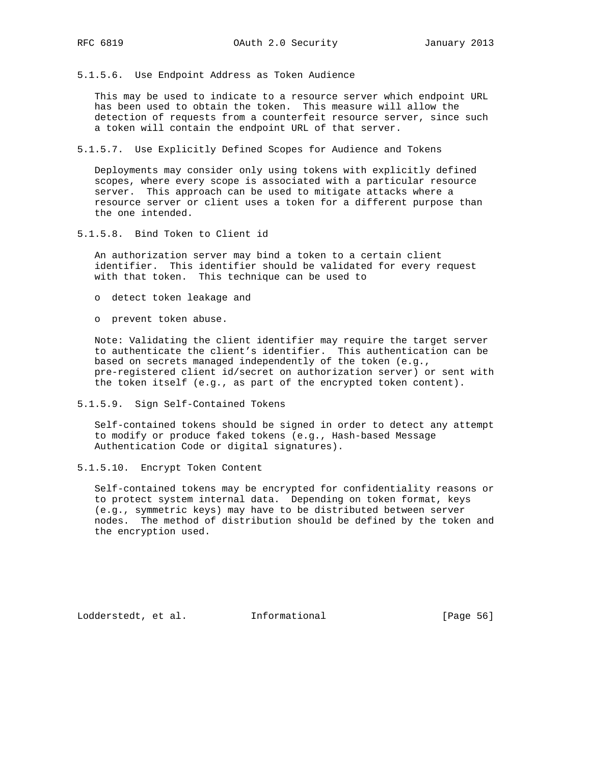5.1.5.6. Use Endpoint Address as Token Audience

 This may be used to indicate to a resource server which endpoint URL has been used to obtain the token. This measure will allow the detection of requests from a counterfeit resource server, since such a token will contain the endpoint URL of that server.

5.1.5.7. Use Explicitly Defined Scopes for Audience and Tokens

 Deployments may consider only using tokens with explicitly defined scopes, where every scope is associated with a particular resource server. This approach can be used to mitigate attacks where a resource server or client uses a token for a different purpose than the one intended.

5.1.5.8. Bind Token to Client id

 An authorization server may bind a token to a certain client identifier. This identifier should be validated for every request with that token. This technique can be used to

- o detect token leakage and
- o prevent token abuse.

 Note: Validating the client identifier may require the target server to authenticate the client's identifier. This authentication can be based on secrets managed independently of the token (e.g., pre-registered client id/secret on authorization server) or sent with the token itself (e.g., as part of the encrypted token content).

5.1.5.9. Sign Self-Contained Tokens

 Self-contained tokens should be signed in order to detect any attempt to modify or produce faked tokens (e.g., Hash-based Message Authentication Code or digital signatures).

5.1.5.10. Encrypt Token Content

 Self-contained tokens may be encrypted for confidentiality reasons or to protect system internal data. Depending on token format, keys (e.g., symmetric keys) may have to be distributed between server nodes. The method of distribution should be defined by the token and the encryption used.

Lodderstedt, et al. 1nformational [Page 56]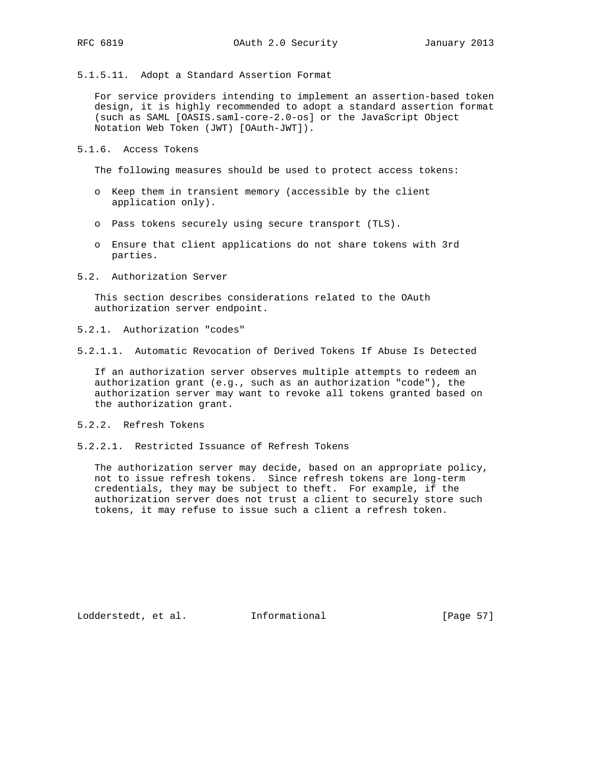5.1.5.11. Adopt a Standard Assertion Format

 For service providers intending to implement an assertion-based token design, it is highly recommended to adopt a standard assertion format (such as SAML [OASIS.saml-core-2.0-os] or the JavaScript Object Notation Web Token (JWT) [OAuth-JWT]).

5.1.6. Access Tokens

The following measures should be used to protect access tokens:

- o Keep them in transient memory (accessible by the client application only).
- o Pass tokens securely using secure transport (TLS).
- o Ensure that client applications do not share tokens with 3rd parties.
- 5.2. Authorization Server

 This section describes considerations related to the OAuth authorization server endpoint.

- 5.2.1. Authorization "codes"
- 5.2.1.1. Automatic Revocation of Derived Tokens If Abuse Is Detected

 If an authorization server observes multiple attempts to redeem an authorization grant (e.g., such as an authorization "code"), the authorization server may want to revoke all tokens granted based on the authorization grant.

- 5.2.2. Refresh Tokens
- 5.2.2.1. Restricted Issuance of Refresh Tokens

 The authorization server may decide, based on an appropriate policy, not to issue refresh tokens. Since refresh tokens are long-term credentials, they may be subject to theft. For example, if the authorization server does not trust a client to securely store such tokens, it may refuse to issue such a client a refresh token.

Lodderstedt, et al. 1nformational [Page 57]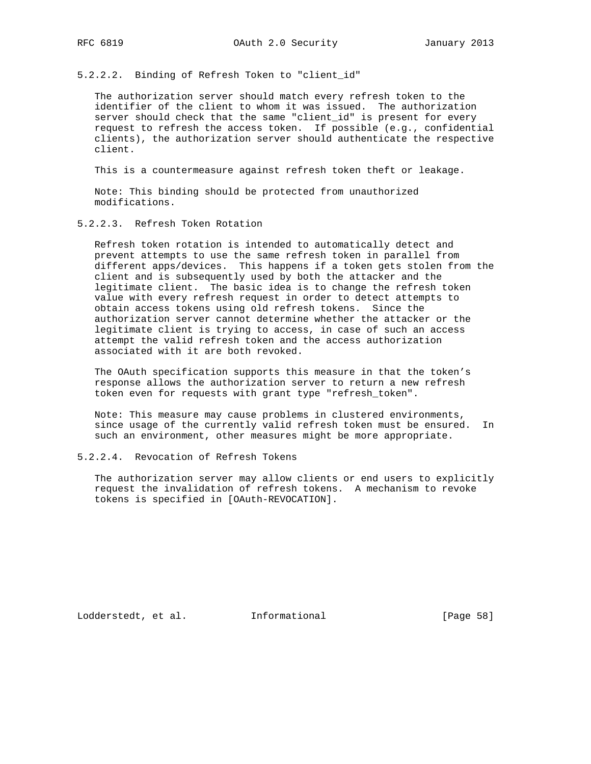5.2.2.2. Binding of Refresh Token to "client\_id"

 The authorization server should match every refresh token to the identifier of the client to whom it was issued. The authorization server should check that the same "client\_id" is present for every request to refresh the access token. If possible (e.g., confidential clients), the authorization server should authenticate the respective client.

This is a countermeasure against refresh token theft or leakage.

 Note: This binding should be protected from unauthorized modifications.

5.2.2.3. Refresh Token Rotation

 Refresh token rotation is intended to automatically detect and prevent attempts to use the same refresh token in parallel from different apps/devices. This happens if a token gets stolen from the client and is subsequently used by both the attacker and the legitimate client. The basic idea is to change the refresh token value with every refresh request in order to detect attempts to obtain access tokens using old refresh tokens. Since the authorization server cannot determine whether the attacker or the legitimate client is trying to access, in case of such an access attempt the valid refresh token and the access authorization associated with it are both revoked.

 The OAuth specification supports this measure in that the token's response allows the authorization server to return a new refresh token even for requests with grant type "refresh\_token".

 Note: This measure may cause problems in clustered environments, since usage of the currently valid refresh token must be ensured. In such an environment, other measures might be more appropriate.

## 5.2.2.4. Revocation of Refresh Tokens

 The authorization server may allow clients or end users to explicitly request the invalidation of refresh tokens. A mechanism to revoke tokens is specified in [OAuth-REVOCATION].

Lodderstedt, et al. 1nformational [Page 58]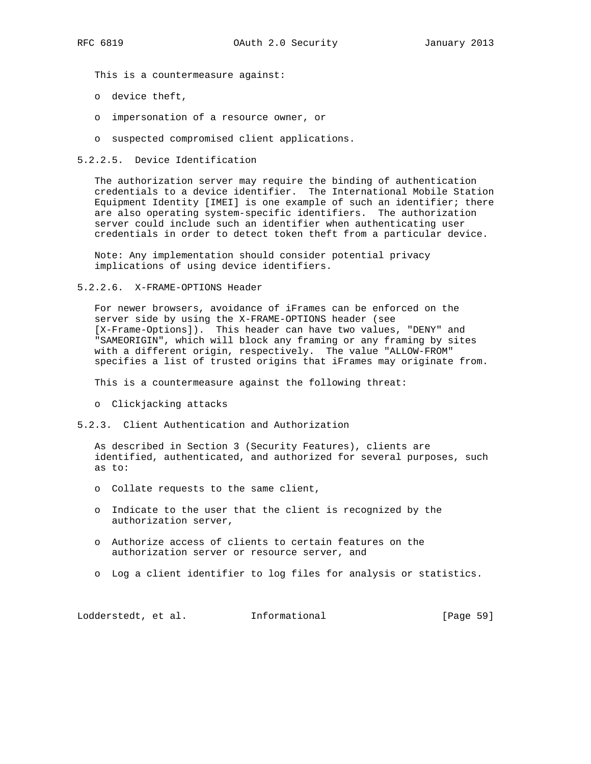This is a countermeasure against:

- o device theft,
- o impersonation of a resource owner, or
- o suspected compromised client applications.

### 5.2.2.5. Device Identification

 The authorization server may require the binding of authentication credentials to a device identifier. The International Mobile Station Equipment Identity [IMEI] is one example of such an identifier; there are also operating system-specific identifiers. The authorization server could include such an identifier when authenticating user credentials in order to detect token theft from a particular device.

 Note: Any implementation should consider potential privacy implications of using device identifiers.

5.2.2.6. X-FRAME-OPTIONS Header

 For newer browsers, avoidance of iFrames can be enforced on the server side by using the X-FRAME-OPTIONS header (see [X-Frame-Options]). This header can have two values, "DENY" and "SAMEORIGIN", which will block any framing or any framing by sites with a different origin, respectively. The value "ALLOW-FROM" specifies a list of trusted origins that iFrames may originate from.

This is a countermeasure against the following threat:

- o Clickjacking attacks
- 5.2.3. Client Authentication and Authorization

 As described in Section 3 (Security Features), clients are identified, authenticated, and authorized for several purposes, such as to:

- o Collate requests to the same client,
- o Indicate to the user that the client is recognized by the authorization server,
- o Authorize access of clients to certain features on the authorization server or resource server, and
- o Log a client identifier to log files for analysis or statistics.

Lodderstedt, et al. 1nformational [Page 59]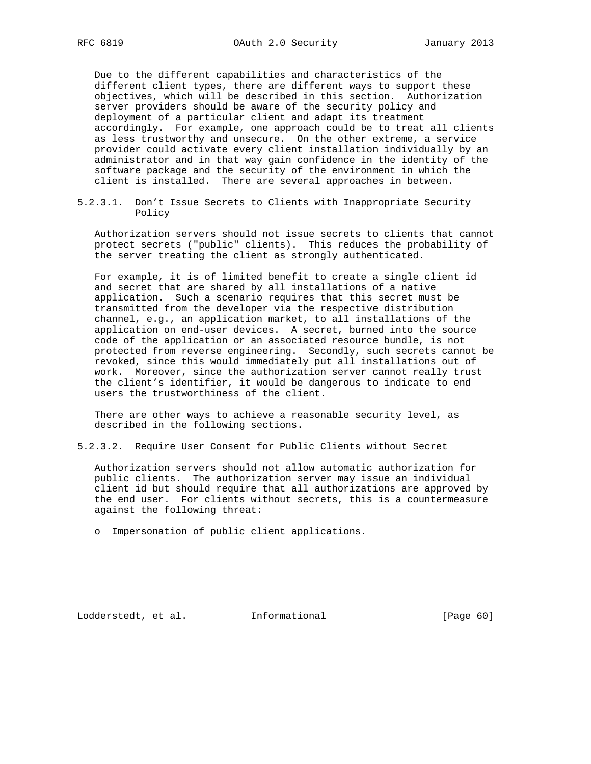Due to the different capabilities and characteristics of the different client types, there are different ways to support these objectives, which will be described in this section. Authorization server providers should be aware of the security policy and deployment of a particular client and adapt its treatment accordingly. For example, one approach could be to treat all clients as less trustworthy and unsecure. On the other extreme, a service provider could activate every client installation individually by an administrator and in that way gain confidence in the identity of the software package and the security of the environment in which the client is installed. There are several approaches in between.

5.2.3.1. Don't Issue Secrets to Clients with Inappropriate Security Policy

 Authorization servers should not issue secrets to clients that cannot protect secrets ("public" clients). This reduces the probability of the server treating the client as strongly authenticated.

 For example, it is of limited benefit to create a single client id and secret that are shared by all installations of a native application. Such a scenario requires that this secret must be transmitted from the developer via the respective distribution channel, e.g., an application market, to all installations of the application on end-user devices. A secret, burned into the source code of the application or an associated resource bundle, is not protected from reverse engineering. Secondly, such secrets cannot be revoked, since this would immediately put all installations out of work. Moreover, since the authorization server cannot really trust the client's identifier, it would be dangerous to indicate to end users the trustworthiness of the client.

 There are other ways to achieve a reasonable security level, as described in the following sections.

5.2.3.2. Require User Consent for Public Clients without Secret

 Authorization servers should not allow automatic authorization for public clients. The authorization server may issue an individual client id but should require that all authorizations are approved by the end user. For clients without secrets, this is a countermeasure against the following threat:

o Impersonation of public client applications.

Lodderstedt, et al. 1nformational [Page 60]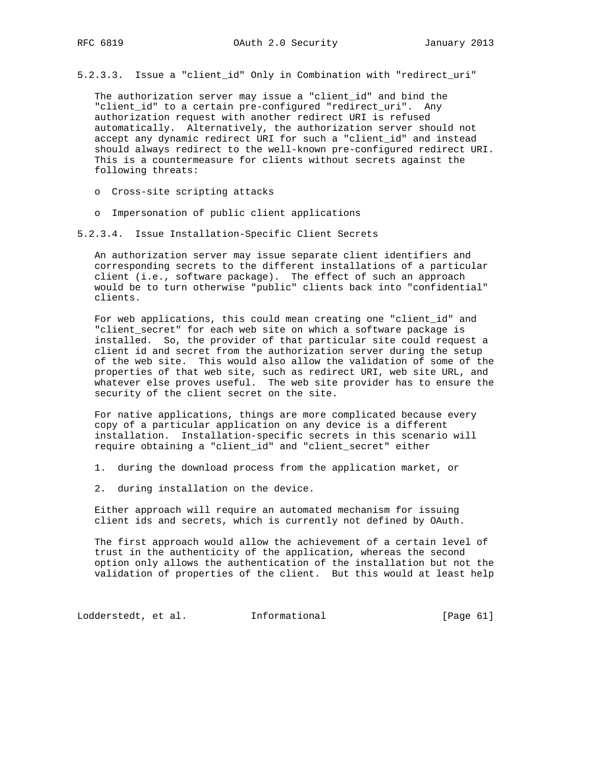5.2.3.3. Issue a "client\_id" Only in Combination with "redirect\_uri"

 The authorization server may issue a "client\_id" and bind the "client\_id" to a certain pre-configured "redirect\_uri". Any authorization request with another redirect URI is refused automatically. Alternatively, the authorization server should not accept any dynamic redirect URI for such a "client\_id" and instead should always redirect to the well-known pre-configured redirect URI. This is a countermeasure for clients without secrets against the following threats:

- o Cross-site scripting attacks
- o Impersonation of public client applications
- 5.2.3.4. Issue Installation-Specific Client Secrets

 An authorization server may issue separate client identifiers and corresponding secrets to the different installations of a particular client (i.e., software package). The effect of such an approach would be to turn otherwise "public" clients back into "confidential" clients.

 For web applications, this could mean creating one "client\_id" and "client\_secret" for each web site on which a software package is installed. So, the provider of that particular site could request a client id and secret from the authorization server during the setup of the web site. This would also allow the validation of some of the properties of that web site, such as redirect URI, web site URL, and whatever else proves useful. The web site provider has to ensure the security of the client secret on the site.

 For native applications, things are more complicated because every copy of a particular application on any device is a different installation. Installation-specific secrets in this scenario will require obtaining a "client\_id" and "client\_secret" either

- 1. during the download process from the application market, or
- 2. during installation on the device.

 Either approach will require an automated mechanism for issuing client ids and secrets, which is currently not defined by OAuth.

 The first approach would allow the achievement of a certain level of trust in the authenticity of the application, whereas the second option only allows the authentication of the installation but not the validation of properties of the client. But this would at least help

Lodderstedt, et al. 1nformational [Page 61]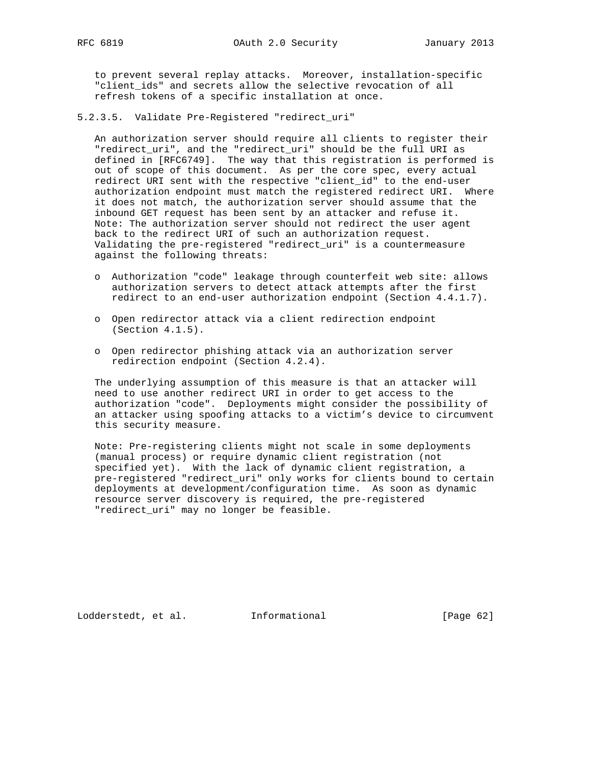to prevent several replay attacks. Moreover, installation-specific "client\_ids" and secrets allow the selective revocation of all refresh tokens of a specific installation at once.

5.2.3.5. Validate Pre-Registered "redirect\_uri"

 An authorization server should require all clients to register their "redirect\_uri", and the "redirect\_uri" should be the full URI as defined in [RFC6749]. The way that this registration is performed is out of scope of this document. As per the core spec, every actual redirect URI sent with the respective "client\_id" to the end-user authorization endpoint must match the registered redirect URI. Where it does not match, the authorization server should assume that the inbound GET request has been sent by an attacker and refuse it. Note: The authorization server should not redirect the user agent back to the redirect URI of such an authorization request. Validating the pre-registered "redirect\_uri" is a countermeasure against the following threats:

- o Authorization "code" leakage through counterfeit web site: allows authorization servers to detect attack attempts after the first redirect to an end-user authorization endpoint (Section 4.4.1.7).
- o Open redirector attack via a client redirection endpoint (Section 4.1.5).
- o Open redirector phishing attack via an authorization server redirection endpoint (Section 4.2.4).

 The underlying assumption of this measure is that an attacker will need to use another redirect URI in order to get access to the authorization "code". Deployments might consider the possibility of an attacker using spoofing attacks to a victim's device to circumvent this security measure.

 Note: Pre-registering clients might not scale in some deployments (manual process) or require dynamic client registration (not specified yet). With the lack of dynamic client registration, a pre-registered "redirect\_uri" only works for clients bound to certain deployments at development/configuration time. As soon as dynamic resource server discovery is required, the pre-registered "redirect\_uri" may no longer be feasible.

Lodderstedt, et al. 1nformational [Page 62]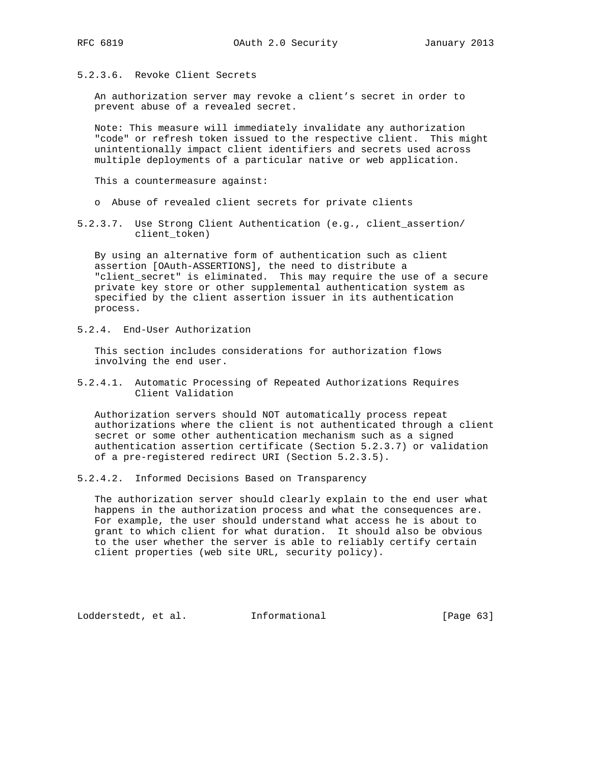5.2.3.6. Revoke Client Secrets

 An authorization server may revoke a client's secret in order to prevent abuse of a revealed secret.

 Note: This measure will immediately invalidate any authorization "code" or refresh token issued to the respective client. This might unintentionally impact client identifiers and secrets used across multiple deployments of a particular native or web application.

This a countermeasure against:

- o Abuse of revealed client secrets for private clients
- 5.2.3.7. Use Strong Client Authentication (e.g., client\_assertion/ client\_token)

 By using an alternative form of authentication such as client assertion [OAuth-ASSERTIONS], the need to distribute a "client\_secret" is eliminated. This may require the use of a secure private key store or other supplemental authentication system as specified by the client assertion issuer in its authentication process.

5.2.4. End-User Authorization

 This section includes considerations for authorization flows involving the end user.

5.2.4.1. Automatic Processing of Repeated Authorizations Requires Client Validation

 Authorization servers should NOT automatically process repeat authorizations where the client is not authenticated through a client secret or some other authentication mechanism such as a signed authentication assertion certificate (Section 5.2.3.7) or validation of a pre-registered redirect URI (Section 5.2.3.5).

5.2.4.2. Informed Decisions Based on Transparency

 The authorization server should clearly explain to the end user what happens in the authorization process and what the consequences are. For example, the user should understand what access he is about to grant to which client for what duration. It should also be obvious to the user whether the server is able to reliably certify certain client properties (web site URL, security policy).

Lodderstedt, et al. 1nformational [Page 63]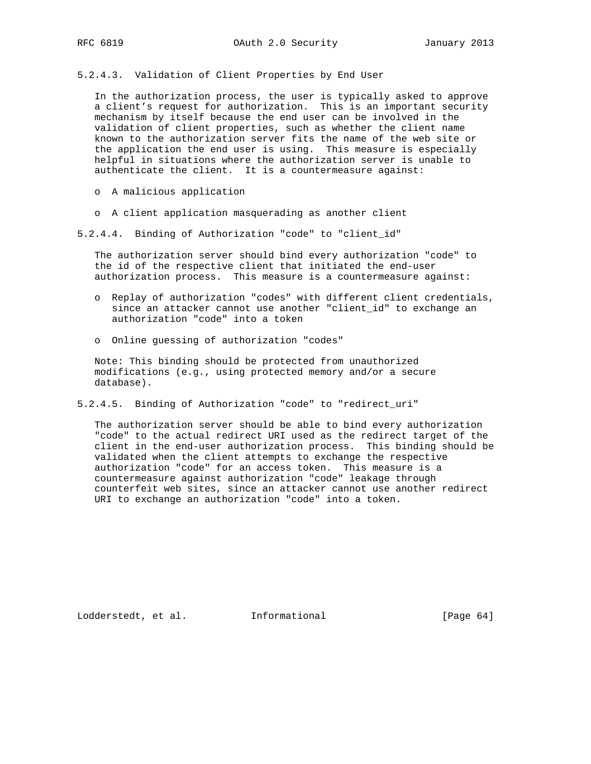5.2.4.3. Validation of Client Properties by End User

 In the authorization process, the user is typically asked to approve a client's request for authorization. This is an important security mechanism by itself because the end user can be involved in the validation of client properties, such as whether the client name known to the authorization server fits the name of the web site or the application the end user is using. This measure is especially helpful in situations where the authorization server is unable to authenticate the client. It is a countermeasure against:

- o A malicious application
- o A client application masquerading as another client
- 5.2.4.4. Binding of Authorization "code" to "client\_id"

 The authorization server should bind every authorization "code" to the id of the respective client that initiated the end-user authorization process. This measure is a countermeasure against:

- o Replay of authorization "codes" with different client credentials, since an attacker cannot use another "client\_id" to exchange an authorization "code" into a token
- o Online guessing of authorization "codes"

 Note: This binding should be protected from unauthorized modifications (e.g., using protected memory and/or a secure database).

5.2.4.5. Binding of Authorization "code" to "redirect\_uri"

 The authorization server should be able to bind every authorization "code" to the actual redirect URI used as the redirect target of the client in the end-user authorization process. This binding should be validated when the client attempts to exchange the respective authorization "code" for an access token. This measure is a countermeasure against authorization "code" leakage through counterfeit web sites, since an attacker cannot use another redirect URI to exchange an authorization "code" into a token.

Lodderstedt, et al. 1nformational [Page 64]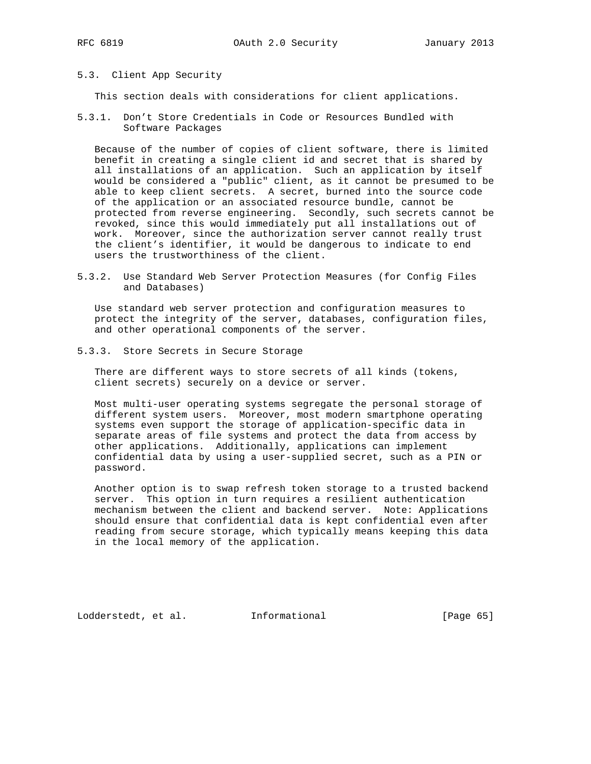### 5.3. Client App Security

This section deals with considerations for client applications.

5.3.1. Don't Store Credentials in Code or Resources Bundled with Software Packages

 Because of the number of copies of client software, there is limited benefit in creating a single client id and secret that is shared by all installations of an application. Such an application by itself would be considered a "public" client, as it cannot be presumed to be able to keep client secrets. A secret, burned into the source code of the application or an associated resource bundle, cannot be protected from reverse engineering. Secondly, such secrets cannot be revoked, since this would immediately put all installations out of work. Moreover, since the authorization server cannot really trust the client's identifier, it would be dangerous to indicate to end users the trustworthiness of the client.

5.3.2. Use Standard Web Server Protection Measures (for Config Files and Databases)

 Use standard web server protection and configuration measures to protect the integrity of the server, databases, configuration files, and other operational components of the server.

5.3.3. Store Secrets in Secure Storage

 There are different ways to store secrets of all kinds (tokens, client secrets) securely on a device or server.

 Most multi-user operating systems segregate the personal storage of different system users. Moreover, most modern smartphone operating systems even support the storage of application-specific data in separate areas of file systems and protect the data from access by other applications. Additionally, applications can implement confidential data by using a user-supplied secret, such as a PIN or password.

 Another option is to swap refresh token storage to a trusted backend server. This option in turn requires a resilient authentication mechanism between the client and backend server. Note: Applications should ensure that confidential data is kept confidential even after reading from secure storage, which typically means keeping this data in the local memory of the application.

Lodderstedt, et al. 1nformational [Page 65]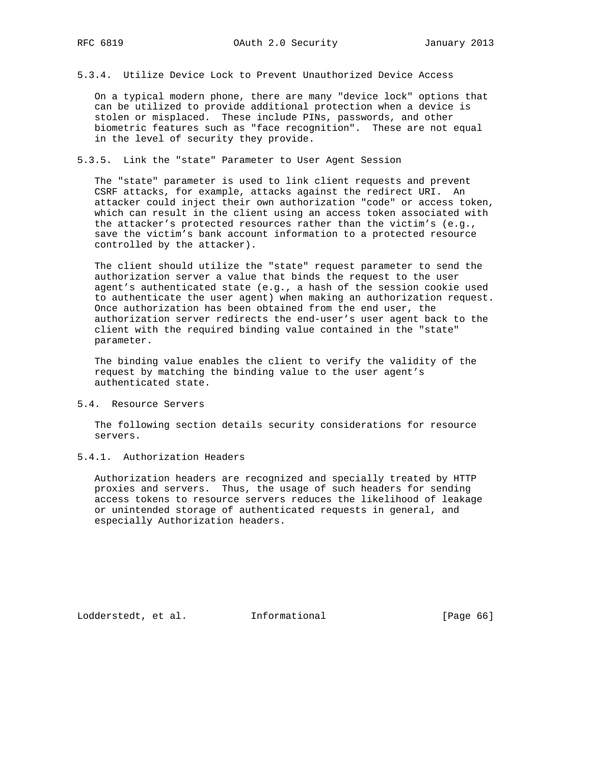5.3.4. Utilize Device Lock to Prevent Unauthorized Device Access

 On a typical modern phone, there are many "device lock" options that can be utilized to provide additional protection when a device is stolen or misplaced. These include PINs, passwords, and other biometric features such as "face recognition". These are not equal in the level of security they provide.

5.3.5. Link the "state" Parameter to User Agent Session

 The "state" parameter is used to link client requests and prevent CSRF attacks, for example, attacks against the redirect URI. An attacker could inject their own authorization "code" or access token, which can result in the client using an access token associated with the attacker's protected resources rather than the victim's (e.g., save the victim's bank account information to a protected resource controlled by the attacker).

 The client should utilize the "state" request parameter to send the authorization server a value that binds the request to the user agent's authenticated state (e.g., a hash of the session cookie used to authenticate the user agent) when making an authorization request. Once authorization has been obtained from the end user, the authorization server redirects the end-user's user agent back to the client with the required binding value contained in the "state" parameter.

 The binding value enables the client to verify the validity of the request by matching the binding value to the user agent's authenticated state.

5.4. Resource Servers

 The following section details security considerations for resource servers.

## 5.4.1. Authorization Headers

 Authorization headers are recognized and specially treated by HTTP proxies and servers. Thus, the usage of such headers for sending access tokens to resource servers reduces the likelihood of leakage or unintended storage of authenticated requests in general, and especially Authorization headers.

Lodderstedt, et al. 1nformational [Page 66]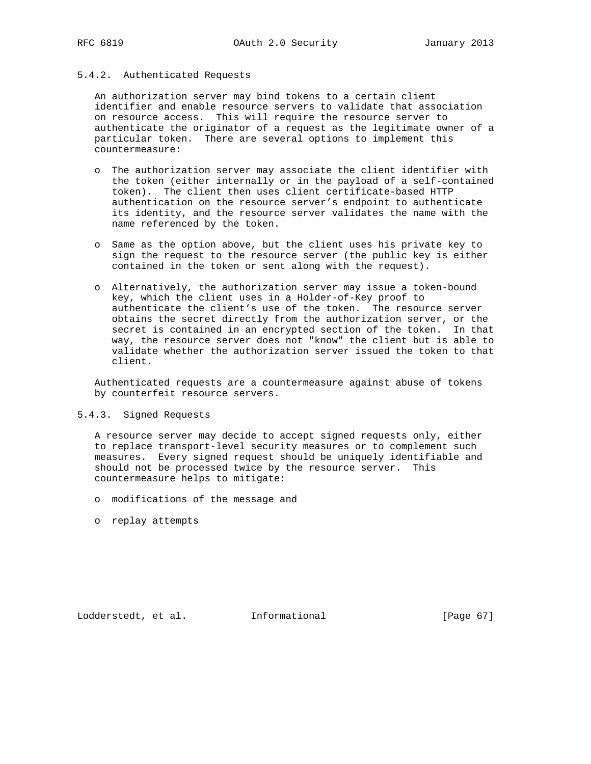## 5.4.2. Authenticated Requests

 An authorization server may bind tokens to a certain client identifier and enable resource servers to validate that association on resource access. This will require the resource server to authenticate the originator of a request as the legitimate owner of a particular token. There are several options to implement this countermeasure:

- o The authorization server may associate the client identifier with the token (either internally or in the payload of a self-contained token). The client then uses client certificate-based HTTP authentication on the resource server's endpoint to authenticate its identity, and the resource server validates the name with the name referenced by the token.
- o Same as the option above, but the client uses his private key to sign the request to the resource server (the public key is either contained in the token or sent along with the request).
- o Alternatively, the authorization server may issue a token-bound key, which the client uses in a Holder-of-Key proof to authenticate the client's use of the token. The resource server obtains the secret directly from the authorization server, or the secret is contained in an encrypted section of the token. In that way, the resource server does not "know" the client but is able to validate whether the authorization server issued the token to that client.

 Authenticated requests are a countermeasure against abuse of tokens by counterfeit resource servers.

### 5.4.3. Signed Requests

 A resource server may decide to accept signed requests only, either to replace transport-level security measures or to complement such measures. Every signed request should be uniquely identifiable and should not be processed twice by the resource server. This countermeasure helps to mitigate:

- o modifications of the message and
- o replay attempts

Lodderstedt, et al. 1nformational [Page 67]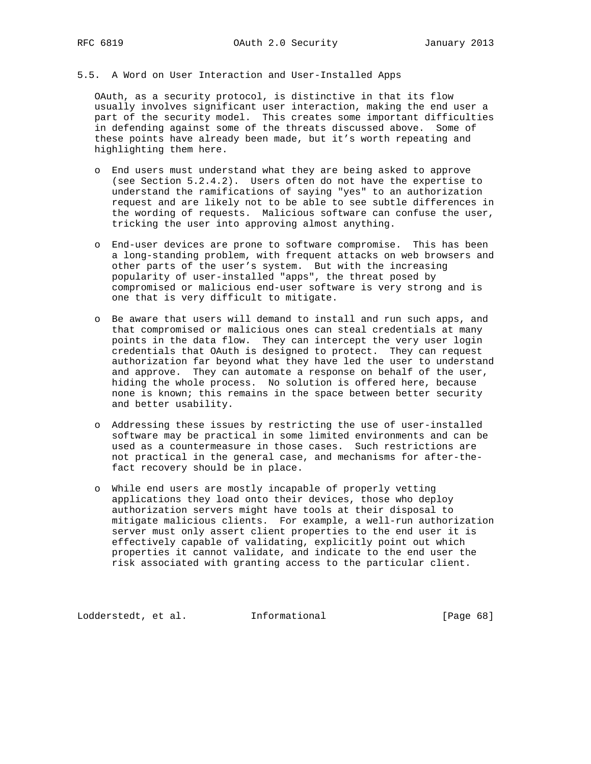# 5.5. A Word on User Interaction and User-Installed Apps

 OAuth, as a security protocol, is distinctive in that its flow usually involves significant user interaction, making the end user a part of the security model. This creates some important difficulties in defending against some of the threats discussed above. Some of these points have already been made, but it's worth repeating and highlighting them here.

- o End users must understand what they are being asked to approve (see Section 5.2.4.2). Users often do not have the expertise to understand the ramifications of saying "yes" to an authorization request and are likely not to be able to see subtle differences in the wording of requests. Malicious software can confuse the user, tricking the user into approving almost anything.
- o End-user devices are prone to software compromise. This has been a long-standing problem, with frequent attacks on web browsers and other parts of the user's system. But with the increasing popularity of user-installed "apps", the threat posed by compromised or malicious end-user software is very strong and is one that is very difficult to mitigate.
- o Be aware that users will demand to install and run such apps, and that compromised or malicious ones can steal credentials at many points in the data flow. They can intercept the very user login credentials that OAuth is designed to protect. They can request authorization far beyond what they have led the user to understand and approve. They can automate a response on behalf of the user, hiding the whole process. No solution is offered here, because none is known; this remains in the space between better security and better usability.
	- o Addressing these issues by restricting the use of user-installed software may be practical in some limited environments and can be used as a countermeasure in those cases. Such restrictions are not practical in the general case, and mechanisms for after-the fact recovery should be in place.
	- o While end users are mostly incapable of properly vetting applications they load onto their devices, those who deploy authorization servers might have tools at their disposal to mitigate malicious clients. For example, a well-run authorization server must only assert client properties to the end user it is effectively capable of validating, explicitly point out which properties it cannot validate, and indicate to the end user the risk associated with granting access to the particular client.

Lodderstedt, et al. 1nformational [Page 68]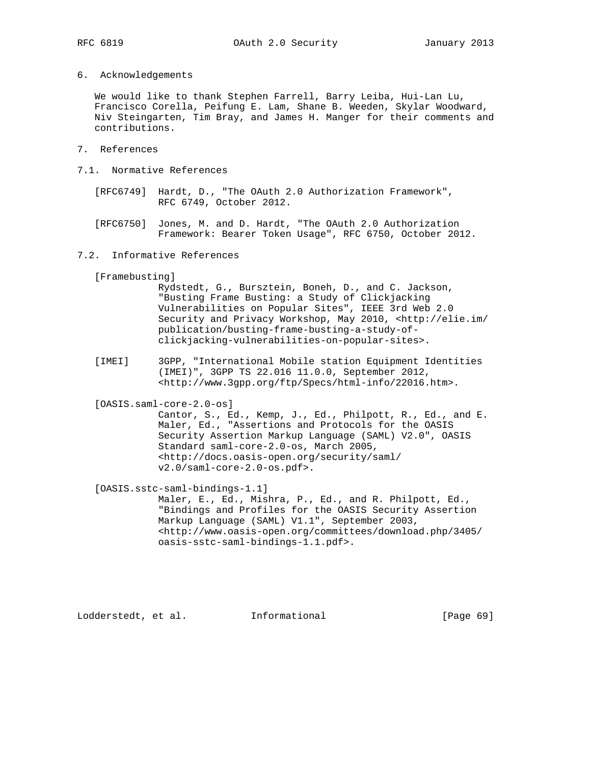6. Acknowledgements

 We would like to thank Stephen Farrell, Barry Leiba, Hui-Lan Lu, Francisco Corella, Peifung E. Lam, Shane B. Weeden, Skylar Woodward, Niv Steingarten, Tim Bray, and James H. Manger for their comments and contributions.

- 7. References
- 7.1. Normative References
	- [RFC6749] Hardt, D., "The OAuth 2.0 Authorization Framework", RFC 6749, October 2012.
	- [RFC6750] Jones, M. and D. Hardt, "The OAuth 2.0 Authorization Framework: Bearer Token Usage", RFC 6750, October 2012.
- 7.2. Informative References

[Framebusting]

- Rydstedt, G., Bursztein, Boneh, D., and C. Jackson, "Busting Frame Busting: a Study of Clickjacking Vulnerabilities on Popular Sites", IEEE 3rd Web 2.0 Security and Privacy Workshop, May 2010, <http://elie.im/ publication/busting-frame-busting-a-study-of clickjacking-vulnerabilities-on-popular-sites>.
- [IMEI] 3GPP, "International Mobile station Equipment Identities (IMEI)", 3GPP TS 22.016 11.0.0, September 2012, <http://www.3gpp.org/ftp/Specs/html-info/22016.htm>.

[OASIS.saml-core-2.0-os]

 Cantor, S., Ed., Kemp, J., Ed., Philpott, R., Ed., and E. Maler, Ed., "Assertions and Protocols for the OASIS Security Assertion Markup Language (SAML) V2.0", OASIS Standard saml-core-2.0-os, March 2005, <http://docs.oasis-open.org/security/saml/ v2.0/saml-core-2.0-os.pdf>.

[OASIS.sstc-saml-bindings-1.1]

 Maler, E., Ed., Mishra, P., Ed., and R. Philpott, Ed., "Bindings and Profiles for the OASIS Security Assertion Markup Language (SAML) V1.1", September 2003, <http://www.oasis-open.org/committees/download.php/3405/ oasis-sstc-saml-bindings-1.1.pdf>.

Lodderstedt, et al. Informational [Page 69]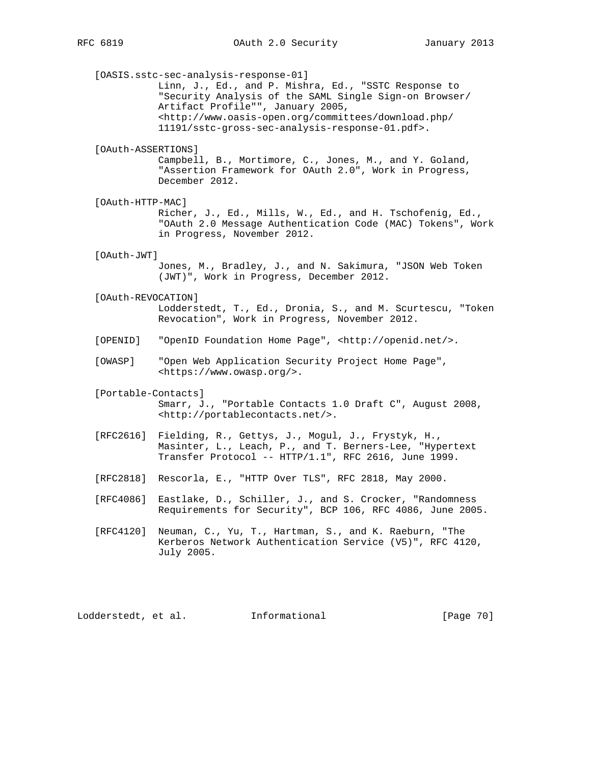[OASIS.sstc-sec-analysis-response-01] Linn, J., Ed., and P. Mishra, Ed., "SSTC Response to "Security Analysis of the SAML Single Sign-on Browser/ Artifact Profile"", January 2005, <http://www.oasis-open.org/committees/download.php/ 11191/sstc-gross-sec-analysis-response-01.pdf>. [OAuth-ASSERTIONS] Campbell, B., Mortimore, C., Jones, M., and Y. Goland, "Assertion Framework for OAuth 2.0", Work in Progress, December 2012. [OAuth-HTTP-MAC] Richer, J., Ed., Mills, W., Ed., and H. Tschofenig, Ed., "OAuth 2.0 Message Authentication Code (MAC) Tokens", Work in Progress, November 2012. [OAuth-JWT] Jones, M., Bradley, J., and N. Sakimura, "JSON Web Token (JWT)", Work in Progress, December 2012. [OAuth-REVOCATION] Lodderstedt, T., Ed., Dronia, S., and M. Scurtescu, "Token Revocation", Work in Progress, November 2012. [OPENID] "OpenID Foundation Home Page", <http://openid.net/>. [OWASP] "Open Web Application Security Project Home Page", <https://www.owasp.org/>. [Portable-Contacts] Smarr, J., "Portable Contacts 1.0 Draft C", August 2008, <http://portablecontacts.net/>. [RFC2616] Fielding, R., Gettys, J., Mogul, J., Frystyk, H., Masinter, L., Leach, P., and T. Berners-Lee, "Hypertext Transfer Protocol -- HTTP/1.1", RFC 2616, June 1999. [RFC2818] Rescorla, E., "HTTP Over TLS", RFC 2818, May 2000. [RFC4086] Eastlake, D., Schiller, J., and S. Crocker, "Randomness Requirements for Security", BCP 106, RFC 4086, June 2005. [RFC4120] Neuman, C., Yu, T., Hartman, S., and K. Raeburn, "The Kerberos Network Authentication Service (V5)", RFC 4120, July 2005.

Lodderstedt, et al. 1nformational [Page 70]